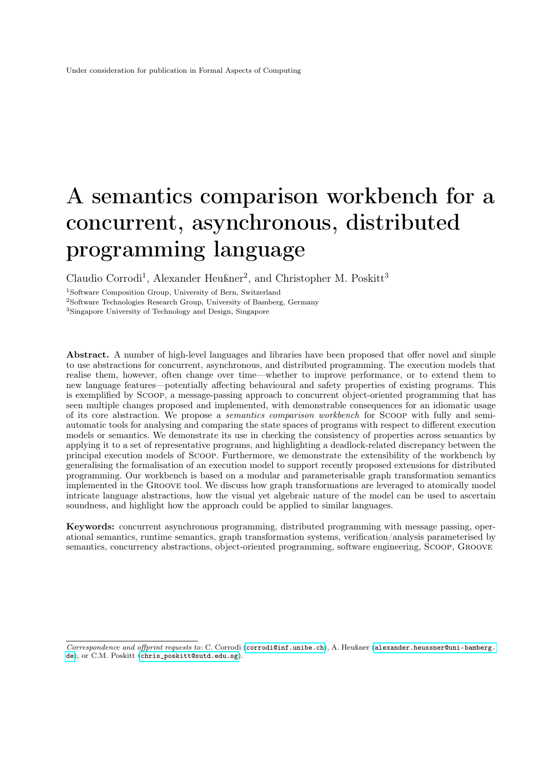# A semantics comparison workbench for a concurrent, asynchronous, distributed programming language

Claudio Corrodi<sup>1</sup>, Alexander Heußner<sup>2</sup>, and Christopher M. Poskitt<sup>3</sup>

<sup>1</sup>Software Composition Group, University of Bern, Switzerland

<sup>2</sup>Software Technologies Research Group, University of Bamberg, Germany

<sup>3</sup>Singapore University of Technology and Design, Singapore

Abstract. A number of high-level languages and libraries have been proposed that offer novel and simple to use abstractions for concurrent, asynchronous, and distributed programming. The execution models that realise them, however, often change over time—whether to improve performance, or to extend them to new language features—potentially affecting behavioural and safety properties of existing programs. This is exemplified by Scoop, a message-passing approach to concurrent object-oriented programming that has seen multiple changes proposed and implemented, with demonstrable consequences for an idiomatic usage of its core abstraction. We propose a semantics comparison workbench for Scoop with fully and semiautomatic tools for analysing and comparing the state spaces of programs with respect to different execution models or semantics. We demonstrate its use in checking the consistency of properties across semantics by applying it to a set of representative programs, and highlighting a deadlock-related discrepancy between the principal execution models of Scoop. Furthermore, we demonstrate the extensibility of the workbench by generalising the formalisation of an execution model to support recently proposed extensions for distributed programming. Our workbench is based on a modular and parameterisable graph transformation semantics implemented in the Groove tool. We discuss how graph transformations are leveraged to atomically model intricate language abstractions, how the visual yet algebraic nature of the model can be used to ascertain soundness, and highlight how the approach could be applied to similar languages.

Keywords: concurrent asynchronous programming, distributed programming with message passing, operational semantics, runtime semantics, graph transformation systems, verification/analysis parameterised by semantics, concurrency abstractions, object-oriented programming, software engineering, Scoop, Groove

Correspondence and offprint requests to: C. Corrodi (<corrodi@inf.unibe.ch>), A. Heußner ([alexander.heussner@uni-bamberg.](alexander.heussner@uni-bamberg.de) [de](alexander.heussner@uni-bamberg.de)), or C.M. Poskitt ([chris\\_poskitt@sutd.edu.sg](chris_poskitt@sutd.edu.sg)).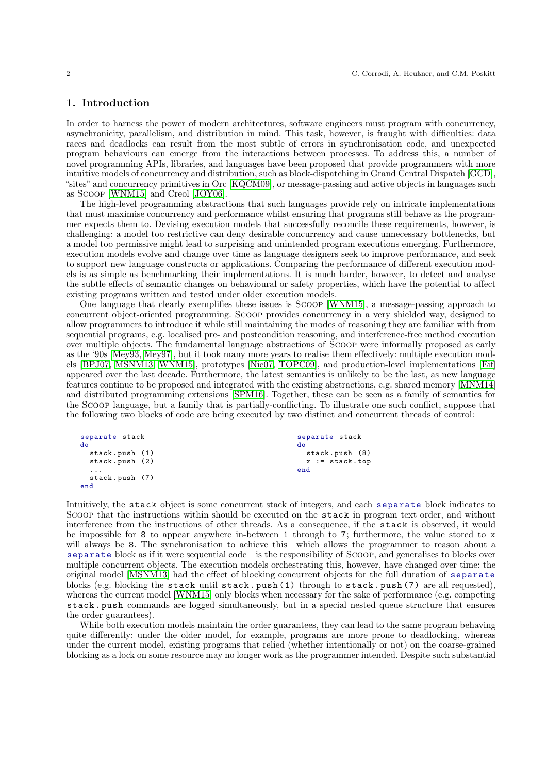## 1. Introduction

In order to harness the power of modern architectures, software engineers must program with concurrency, asynchronicity, parallelism, and distribution in mind. This task, however, is fraught with difficulties: data races and deadlocks can result from the most subtle of errors in synchronisation code, and unexpected program behaviours can emerge from the interactions between processes. To address this, a number of novel programming APIs, libraries, and languages have been proposed that provide programmers with more intuitive models of concurrency and distribution, such as block-dispatching in Grand Central Dispatch [\[GCD\]](#page-28-0), "sites" and concurrency primitives in Orc [\[KQCM09\]](#page-28-1), or message-passing and active objects in languages such as Scoop [\[WNM15\]](#page-29-0) and Creol [\[JOY06\]](#page-28-2).

The high-level programming abstractions that such languages provide rely on intricate implementations that must maximise concurrency and performance whilst ensuring that programs still behave as the programmer expects them to. Devising execution models that successfully reconcile these requirements, however, is challenging: a model too restrictive can deny desirable concurrency and cause unnecessary bottlenecks, but a model too permissive might lead to surprising and unintended program executions emerging. Furthermore, execution models evolve and change over time as language designers seek to improve performance, and seek to support new language constructs or applications. Comparing the performance of different execution models is as simple as benchmarking their implementations. It is much harder, however, to detect and analyse the subtle effects of semantic changes on behavioural or safety properties, which have the potential to affect existing programs written and tested under older execution models.

One language that clearly exemplifies these issues is Scoop [\[WNM15\]](#page-29-0), a message-passing approach to concurrent object-oriented programming. Scoop provides concurrency in a very shielded way, designed to allow programmers to introduce it while still maintaining the modes of reasoning they are familiar with from sequential programs, e.g. localised pre- and postcondition reasoning, and interference-free method execution over multiple objects. The fundamental language abstractions of Scoop were informally proposed as early as the '90s [\[Mey93,](#page-28-3) [Mey97\]](#page-28-4), but it took many more years to realise them effectively: multiple execution models [\[BPJ07,](#page-27-0) [MSNM13,](#page-28-5) [WNM15\]](#page-29-0), prototypes [\[Nie07,](#page-28-6) [TOPC09\]](#page-29-1), and production-level implementations [\[Eif\]](#page-28-7) appeared over the last decade. Furthermore, the latest semantics is unlikely to be the last, as new language features continue to be proposed and integrated with the existing abstractions, e.g. shared memory [\[MNM14\]](#page-28-8) and distributed programming extensions [\[SPM16\]](#page-29-2). Together, these can be seen as a family of semantics for the Scoop language, but a family that is partially-conflicting. To illustrate one such conflict, suppose that the following two blocks of code are being executed by two distinct and concurrent threads of control:

| separate stack | separate stack   |
|----------------|------------------|
| do             | do               |
| stack.push (1) | stack.push (8)   |
| stack.push (2) | $x :=$ stack.top |
| $\cdots$       | end              |
| stack.push (7) |                  |
| end            |                  |

Intuitively, the stack object is some concurrent stack of integers, and each separate block indicates to Scoop that the instructions within should be executed on the stack in program text order, and without interference from the instructions of other threads. As a consequence, if the stack is observed, it would be impossible for 8 to appear anywhere in-between 1 through to 7; furthermore, the value stored to x will always be 8. The synchronisation to achieve this—which allows the programmer to reason about a separate block as if it were sequential code—is the responsibility of Scoop, and generalises to blocks over multiple concurrent objects. The execution models orchestrating this, however, have changed over time: the original model [\[MSNM13\]](#page-28-5) had the effect of blocking concurrent objects for the full duration of separate blocks (e.g. blocking the stack until stack . push (1) through to stack . push (7) are all requested), whereas the current model [\[WNM15\]](#page-29-0) only blocks when necessary for the sake of performance (e.g. competing stack . push commands are logged simultaneously, but in a special nested queue structure that ensures the order guarantees).

While both execution models maintain the order guarantees, they can lead to the same program behaving quite differently: under the older model, for example, programs are more prone to deadlocking, whereas under the current model, existing programs that relied (whether intentionally or not) on the coarse-grained blocking as a lock on some resource may no longer work as the programmer intended. Despite such substantial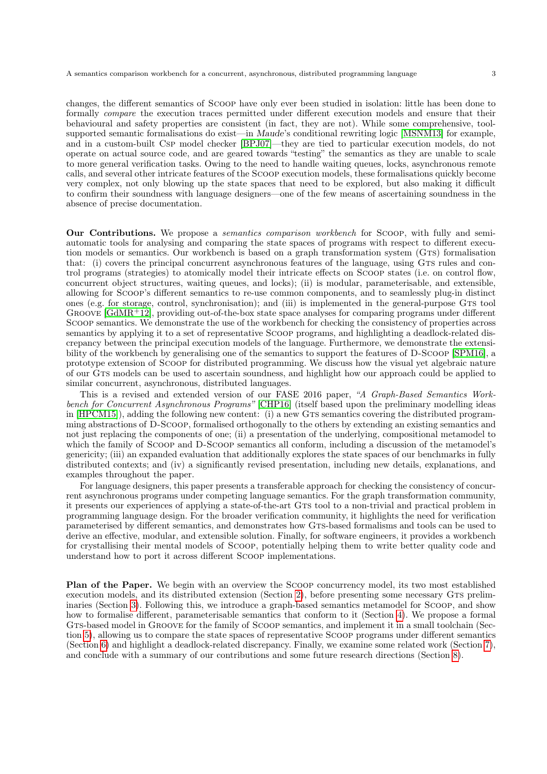changes, the different semantics of Scoop have only ever been studied in isolation: little has been done to formally compare the execution traces permitted under different execution models and ensure that their behavioural and safety properties are consistent (in fact, they are not). While some comprehensive, toolsupported semantic formalisations do exist—in Maude's conditional rewriting logic [\[MSNM13\]](#page-28-5) for example, and in a custom-built Csp model checker [\[BPJ07\]](#page-27-0)—they are tied to particular execution models, do not operate on actual source code, and are geared towards "testing" the semantics as they are unable to scale to more general verification tasks. Owing to the need to handle waiting queues, locks, asynchronous remote calls, and several other intricate features of the Scoop execution models, these formalisations quickly become very complex, not only blowing up the state spaces that need to be explored, but also making it difficult to confirm their soundness with language designers—one of the few means of ascertaining soundness in the absence of precise documentation.

Our Contributions. We propose a semantics comparison workbench for Scoop, with fully and semiautomatic tools for analysing and comparing the state spaces of programs with respect to different execution models or semantics. Our workbench is based on a graph transformation system (GTs) formalisation that: (i) covers the principal concurrent asynchronous features of the language, using GTS rules and control programs (strategies) to atomically model their intricate effects on Scoop states (i.e. on control flow, concurrent object structures, waiting queues, and locks); (ii) is modular, parameterisable, and extensible, allowing for Scoop's different semantics to re-use common components, and to seamlessly plug-in distinct ones (e.g. for storage, control, synchronisation); and (iii) is implemented in the general-purpose Gts tool Groove [\[GdMR](#page-28-9)<sup>+</sup>12], providing out-of-the-box state space analyses for comparing programs under different Scoop semantics. We demonstrate the use of the workbench for checking the consistency of properties across semantics by applying it to a set of representative Scoop programs, and highlighting a deadlock-related discrepancy between the principal execution models of the language. Furthermore, we demonstrate the extensibility of the workbench by generalising one of the semantics to support the features of D-Scoop [\[SPM16\]](#page-29-2), a prototype extension of Scoop for distributed programming. We discuss how the visual yet algebraic nature of our Gts models can be used to ascertain soundness, and highlight how our approach could be applied to similar concurrent, asynchronous, distributed languages.

This is a revised and extended version of our FASE 2016 paper, "A Graph-Based Semantics Workbench for Concurrent Asynchronous Programs" [\[CHP16\]](#page-27-1) (itself based upon the preliminary modelling ideas in  $[HPCM15]$ , adding the following new content: (i) a new GTS semantics covering the distributed programming abstractions of D-Scoop, formalised orthogonally to the others by extending an existing semantics and not just replacing the components of one; (ii) a presentation of the underlying, compositional metamodel to which the family of Scoop and D-Scoop semantics all conform, including a discussion of the metamodel's genericity; (iii) an expanded evaluation that additionally explores the state spaces of our benchmarks in fully distributed contexts; and (iv) a significantly revised presentation, including new details, explanations, and examples throughout the paper.

For language designers, this paper presents a transferable approach for checking the consistency of concurrent asynchronous programs under competing language semantics. For the graph transformation community, it presents our experiences of applying a state-of-the-art GTs tool to a non-trivial and practical problem in programming language design. For the broader verification community, it highlights the need for verification parameterised by different semantics, and demonstrates how GTS-based formalisms and tools can be used to derive an effective, modular, and extensible solution. Finally, for software engineers, it provides a workbench for crystallising their mental models of Scoop, potentially helping them to write better quality code and understand how to port it across different Scoop implementations.

Plan of the Paper. We begin with an overview the Scoop concurrency model, its two most established execution models, and its distributed extension (Section [2\)](#page-3-0), before presenting some necessary GTs preliminaries (Section [3\)](#page-8-0). Following this, we introduce a graph-based semantics metamodel for Scoop, and show how to formalise different, parameterisable semantics that conform to it (Section [4\)](#page-9-0). We propose a formal GTS-based model in GROOVE for the family of SCOOP semantics, and implement it in a small toolchain (Section [5\)](#page-13-0), allowing us to compare the state spaces of representative Scoop programs under different semantics (Section [6\)](#page-22-0) and highlight a deadlock-related discrepancy. Finally, we examine some related work (Section [7\)](#page-25-0), and conclude with a summary of our contributions and some future research directions (Section [8\)](#page-26-0).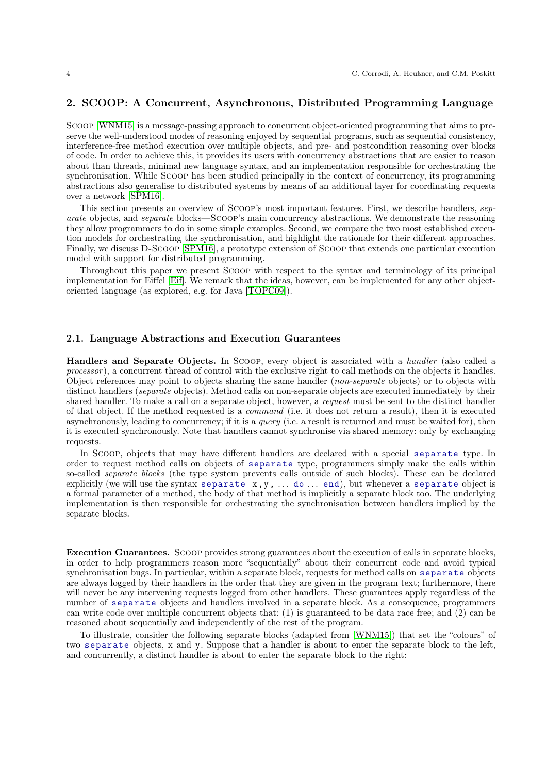## <span id="page-3-0"></span>2. SCOOP: A Concurrent, Asynchronous, Distributed Programming Language

Scoop [\[WNM15\]](#page-29-0) is a message-passing approach to concurrent object-oriented programming that aims to preserve the well-understood modes of reasoning enjoyed by sequential programs, such as sequential consistency, interference-free method execution over multiple objects, and pre- and postcondition reasoning over blocks of code. In order to achieve this, it provides its users with concurrency abstractions that are easier to reason about than threads, minimal new language syntax, and an implementation responsible for orchestrating the synchronisation. While Scoop has been studied principally in the context of concurrency, its programming abstractions also generalise to distributed systems by means of an additional layer for coordinating requests over a network [\[SPM16\]](#page-29-2).

This section presents an overview of SCOOP's most important features. First, we describe handlers, separate objects, and separate blocks—Scoop's main concurrency abstractions. We demonstrate the reasoning they allow programmers to do in some simple examples. Second, we compare the two most established execution models for orchestrating the synchronisation, and highlight the rationale for their different approaches. Finally, we discuss D-Scoop [\[SPM16\]](#page-29-2), a prototype extension of Scoop that extends one particular execution model with support for distributed programming.

Throughout this paper we present Scoop with respect to the syntax and terminology of its principal implementation for Eiffel [\[Eif\]](#page-28-7). We remark that the ideas, however, can be implemented for any other objectoriented language (as explored, e.g. for Java [\[TOPC09\]](#page-29-1)).

## 2.1. Language Abstractions and Execution Guarantees

Handlers and Separate Objects. In Scoop, every object is associated with a handler (also called a processor ), a concurrent thread of control with the exclusive right to call methods on the objects it handles. Object references may point to objects sharing the same handler (non-separate objects) or to objects with distinct handlers (separate objects). Method calls on non-separate objects are executed immediately by their shared handler. To make a call on a separate object, however, a request must be sent to the distinct handler of that object. If the method requested is a command (i.e. it does not return a result), then it is executed asynchronously, leading to concurrency; if it is a query (i.e. a result is returned and must be waited for), then it is executed synchronously. Note that handlers cannot synchronise via shared memory: only by exchanging requests.

In Scoop, objects that may have different handlers are declared with a special separate type. In order to request method calls on objects of separate type, programmers simply make the calls within so-called separate blocks (the type system prevents calls outside of such blocks). These can be declared explicitly (we will use the syntax separate  $x, y, \ldots$  do  $\ldots$  end), but whenever a separate object is a formal parameter of a method, the body of that method is implicitly a separate block too. The underlying implementation is then responsible for orchestrating the synchronisation between handlers implied by the separate blocks.

Execution Guarantees. Scoop provides strong guarantees about the execution of calls in separate blocks, in order to help programmers reason more "sequentially" about their concurrent code and avoid typical synchronisation bugs. In particular, within a separate block, requests for method calls on separate objects are always logged by their handlers in the order that they are given in the program text; furthermore, there will never be any intervening requests logged from other handlers. These guarantees apply regardless of the number of separate objects and handlers involved in a separate block. As a consequence, programmers can write code over multiple concurrent objects that: (1) is guaranteed to be data race free; and (2) can be reasoned about sequentially and independently of the rest of the program.

To illustrate, consider the following separate blocks (adapted from [\[WNM15\]](#page-29-0)) that set the "colours" of two separate objects, x and y. Suppose that a handler is about to enter the separate block to the left, and concurrently, a distinct handler is about to enter the separate block to the right: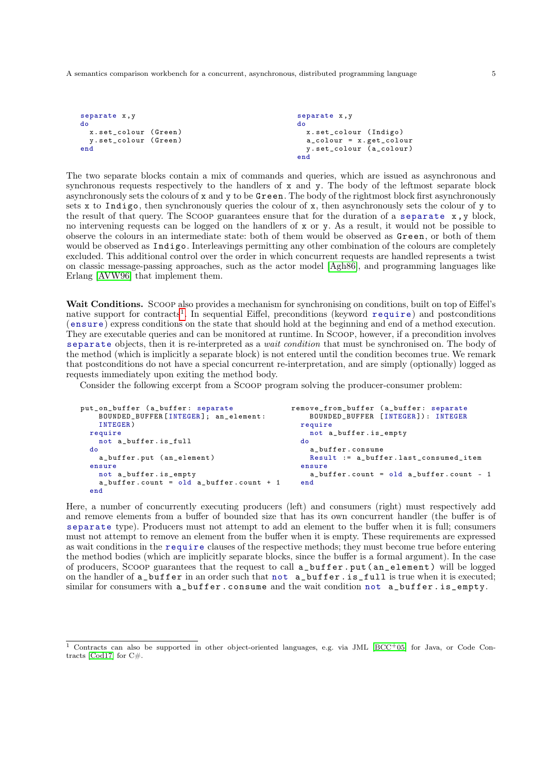| separate x, y                                | separate x, y                                                        |
|----------------------------------------------|----------------------------------------------------------------------|
| do                                           | do                                                                   |
| x.set colour (Green)<br>y.set_colour (Green) | x.set_colour (Indigo)<br>$a_{\text{colour}} = x.get_{\text{colour}}$ |
| end                                          | y.set_colour (a_colour)                                              |
|                                              | end                                                                  |

The two separate blocks contain a mix of commands and queries, which are issued as asynchronous and synchronous requests respectively to the handlers of  $x$  and  $y$ . The body of the leftmost separate block asynchronously sets the colours of x and y to be Green. The body of the rightmost block first asynchronously sets x to Indigo, then synchronously queries the colour of x, then asynchronously sets the colour of y to the result of that query. The Scoop guarantees ensure that for the duration of a separate x , y block, no intervening requests can be logged on the handlers of x or y. As a result, it would not be possible to observe the colours in an intermediate state: both of them would be observed as Green, or both of them would be observed as Indigo. Interleavings permitting any other combination of the colours are completely excluded. This additional control over the order in which concurrent requests are handled represents a twist on classic message-passing approaches, such as the actor model [\[Agh86\]](#page-27-2), and programming languages like Erlang [\[AVW96\]](#page-27-3) that implement them.

Wait Conditions. Scoop also provides a mechanism for synchronising on conditions, built on top of Eiffel's native support for contracts<sup>[1](#page-4-0)</sup>. In sequential Eiffel, preconditions (keyword require) and postconditions (ensure) express conditions on the state that should hold at the beginning and end of a method execution. They are executable queries and can be monitored at runtime. In Scoop, however, if a precondition involves separate objects, then it is re-interpreted as a *wait condition* that must be synchronised on. The body of the method (which is implicitly a separate block) is not entered until the condition becomes true. We remark that postconditions do not have a special concurrent re-interpretation, and are simply (optionally) logged as requests immediately upon exiting the method body.

Consider the following excerpt from a Scoop program solving the producer-consumer problem:

| put_on_buffer (a_buffer: separate<br>BOUNDED_BUFFER[INTEGER]; an_element:<br>INTEGER) | remove_from_buffer (a_buffer: separate<br>BOUNDED_BUFFER [INTEGER]): INTEGER<br>require |
|---------------------------------------------------------------------------------------|-----------------------------------------------------------------------------------------|
| require                                                                               | not a_buffer.is_empty                                                                   |
| not a_buffer.is_full                                                                  | do                                                                                      |
| do                                                                                    | a_buffer.consume                                                                        |
| a_buffer.put (an_element)                                                             | Result := a_buffer.last_consumed_item                                                   |
| ensure                                                                                | ensure                                                                                  |
| not a_buffer.is_empty                                                                 | $a_b$ buffer.count = old $a_b$ buffer.count - 1                                         |
| $a_b$ buffer.count = old $a_b$ buffer.count + 1                                       | end                                                                                     |
| end                                                                                   |                                                                                         |

Here, a number of concurrently executing producers (left) and consumers (right) must respectively add and remove elements from a buffer of bounded size that has its own concurrent handler (the buffer is of separate type). Producers must not attempt to add an element to the buffer when it is full; consumers must not attempt to remove an element from the buffer when it is empty. These requirements are expressed as wait conditions in the require clauses of the respective methods; they must become true before entering the method bodies (which are implicitly separate blocks, since the buffer is a formal argument). In the case of producers, Scoop guarantees that the request to call a\_buffer . put ( an\_element ) will be logged on the handler of a\_buffer in an order such that not a\_buffer . is\_full is true when it is executed; similar for consumers with  $a$ \_buffer.consume and the wait condition not  $a$ \_buffer.is\_empty.

<span id="page-4-0"></span><sup>1</sup> Contracts can also be supported in other object-oriented languages, e.g. via JML [\[BCC](#page-27-4)+05] for Java, or Code Contracts [\[Cod17\]](#page-28-11) for C#.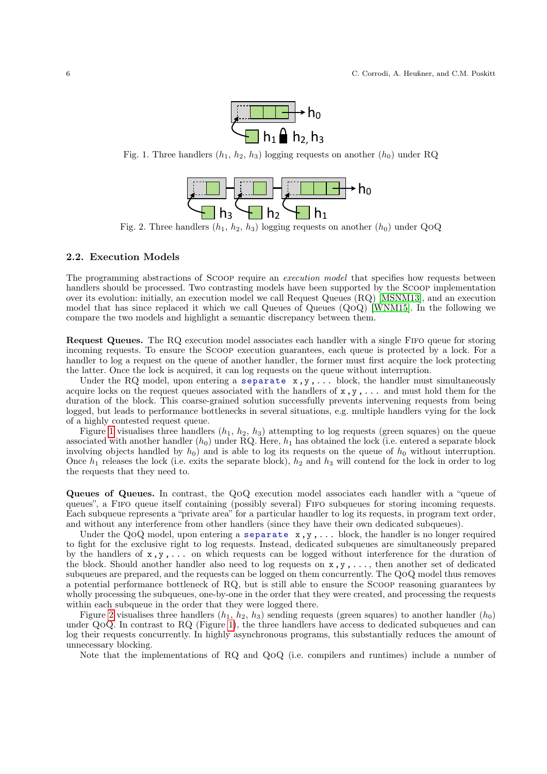

<span id="page-5-0"></span>Fig. 1. Three handlers  $(h_1, h_2, h_3)$  logging requests on another  $(h_0)$  under RQ



<span id="page-5-1"></span>Fig. 2. Three handlers  $(h_1, h_2, h_3)$  logging requests on another  $(h_0)$  under QoQ

## 2.2. Execution Models

The programming abstractions of SCOOP require an *execution model* that specifies how requests between handlers should be processed. Two contrasting models have been supported by the Scoop implementation over its evolution: initially, an execution model we call Request Queues (RQ) [\[MSNM13\]](#page-28-5), and an execution model that has since replaced it which we call Queues of Queues (QoQ) [\[WNM15\]](#page-29-0). In the following we compare the two models and highlight a semantic discrepancy between them.

Request Queues. The RQ execution model associates each handler with a single Fifo queue for storing incoming requests. To ensure the Scoop execution guarantees, each queue is protected by a lock. For a handler to log a request on the queue of another handler, the former must first acquire the lock protecting the latter. Once the lock is acquired, it can log requests on the queue without interruption.

Under the RQ model, upon entering a separate  $x, y, \ldots$  block, the handler must simultaneously acquire locks on the request queues associated with the handlers of  $x, y, \ldots$  and must hold them for the duration of the block. This coarse-grained solution successfully prevents intervening requests from being logged, but leads to performance bottlenecks in several situations, e.g. multiple handlers vying for the lock of a highly contested request queue.

Figure [1](#page-5-0) visualises three handlers  $(h_1, h_2, h_3)$  attempting to log requests (green squares) on the queue associated with another handler  $(h_0)$  under RQ. Here,  $h_1$  has obtained the lock (i.e. entered a separate block involving objects handled by  $h_0$ ) and is able to log its requests on the queue of  $h_0$  without interruption. Once  $h_1$  releases the lock (i.e. exits the separate block),  $h_2$  and  $h_3$  will contend for the lock in order to log the requests that they need to.

Queues of Queues. In contrast, the QoQ execution model associates each handler with a "queue of queues", a Fifo queue itself containing (possibly several) Fifo subqueues for storing incoming requests. Each subqueue represents a "private area" for a particular handler to log its requests, in program text order, and without any interference from other handlers (since they have their own dedicated subqueues).

Under the QoQ model, upon entering a separate  $x, y, \ldots$  block, the handler is no longer required to fight for the exclusive right to log requests. Instead, dedicated subqueues are simultaneously prepared by the handlers of  $x, y, \ldots$  on which requests can be logged without interference for the duration of the block. Should another handler also need to log requests on  $x, y, \ldots$ , then another set of dedicated subqueues are prepared, and the requests can be logged on them concurrently. The QoQ model thus removes a potential performance bottleneck of RQ, but is still able to ensure the Scoop reasoning guarantees by wholly processing the subqueues, one-by-one in the order that they were created, and processing the requests within each subqueue in the order that they were logged there.

Figure [2](#page-5-1) visualises three handlers  $(h_1, h_2, h_3)$  sending requests (green squares) to another handler  $(h_0)$ under QoQ. In contrast to RQ (Figure [1\)](#page-5-0), the three handlers have access to dedicated subqueues and can log their requests concurrently. In highly asynchronous programs, this substantially reduces the amount of unnecessary blocking.

Note that the implementations of RQ and QoQ (i.e. compilers and runtimes) include a number of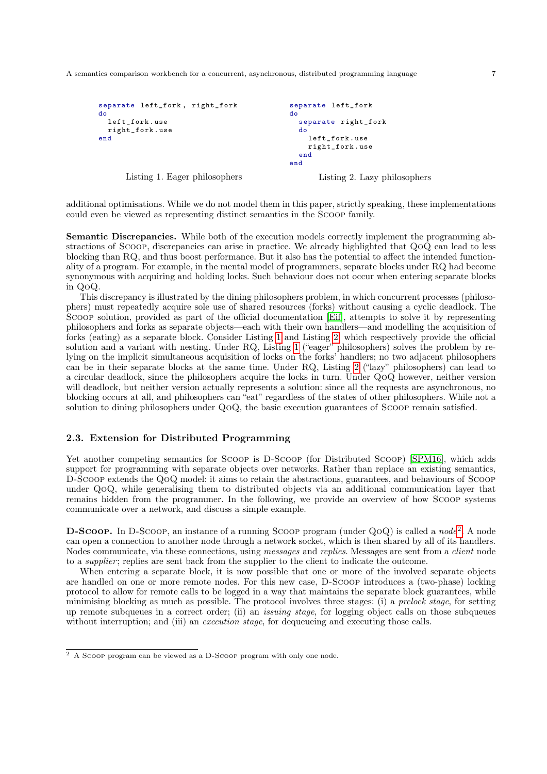A semantics comparison workbench for a concurrent, asynchronous, distributed programming language 7

```
separate left_fork , right_fork
do
  left_fork . use
  right_fork . use
end
      Listing 1. Eager philosophers
                                               separate left_fork
                                               do
                                                 separate right_fork
                                                 do
                                                   left_fork . use
                                                   right_fork . use
                                                 end
                                               end
                                                      Listing 2. Lazy philosophers
```
additional optimisations. While we do not model them in this paper, strictly speaking, these implementations could even be viewed as representing distinct semantics in the Scoop family.

Semantic Discrepancies. While both of the execution models correctly implement the programming abstractions of Scoop, discrepancies can arise in practice. We already highlighted that QoQ can lead to less blocking than RQ, and thus boost performance. But it also has the potential to affect the intended functionality of a program. For example, in the mental model of programmers, separate blocks under RQ had become synonymous with acquiring and holding locks. Such behaviour does not occur when entering separate blocks in QoQ.

This discrepancy is illustrated by the dining philosophers problem, in which concurrent processes (philosophers) must repeatedly acquire sole use of shared resources (forks) without causing a cyclic deadlock. The Scoop solution, provided as part of the official documentation [\[Eif\]](#page-28-7), attempts to solve it by representing philosophers and forks as separate objects—each with their own handlers—and modelling the acquisition of forks (eating) as a separate block. Consider Listing [1](#page-6-0) and Listing [2,](#page-6-1) which respectively provide the official solution and a variant with nesting. Under RQ, Listing [1](#page-6-0) ("eager" philosophers) solves the problem by relying on the implicit simultaneous acquisition of locks on the forks' handlers; no two adjacent philosophers can be in their separate blocks at the same time. Under RQ, Listing [2](#page-6-1) ("lazy" philosophers) can lead to a circular deadlock, since the philosophers acquire the locks in turn. Under QoQ however, neither version will deadlock, but neither version actually represents a solution: since all the requests are asynchronous, no blocking occurs at all, and philosophers can "eat" regardless of the states of other philosophers. While not a solution to dining philosophers under QoQ, the basic execution guarantees of Scoop remain satisfied.

## 2.3. Extension for Distributed Programming

Yet another competing semantics for Scoop is D-Scoop (for Distributed Scoop) [\[SPM16\]](#page-29-2), which adds support for programming with separate objects over networks. Rather than replace an existing semantics, D-Scoop extends the QoQ model: it aims to retain the abstractions, guarantees, and behaviours of Scoop under QoQ, while generalising them to distributed objects via an additional communication layer that remains hidden from the programmer. In the following, we provide an overview of how Scoop systems communicate over a network, and discuss a simple example.

D-Scoop. In D-Scoop, an instance of a running Scoop program (under QoQ) is called a node<sup>[2](#page-6-2)</sup>. A node can open a connection to another node through a network socket, which is then shared by all of its handlers. Nodes communicate, via these connections, using messages and replies. Messages are sent from a client node to a *supplier*; replies are sent back from the supplier to the client to indicate the outcome.

When entering a separate block, it is now possible that one or more of the involved separate objects are handled on one or more remote nodes. For this new case, D-Scoop introduces a (two-phase) locking protocol to allow for remote calls to be logged in a way that maintains the separate block guarantees, while minimising blocking as much as possible. The protocol involves three stages: (i) a prelock stage, for setting up remote subqueues in a correct order; (ii) an *issuing stage*, for logging object calls on those subqueues without interruption; and (iii) an *execution stage*, for dequeueing and executing those calls.

<span id="page-6-2"></span><sup>&</sup>lt;sup>2</sup> A Scoop program can be viewed as a D-Scoop program with only one node.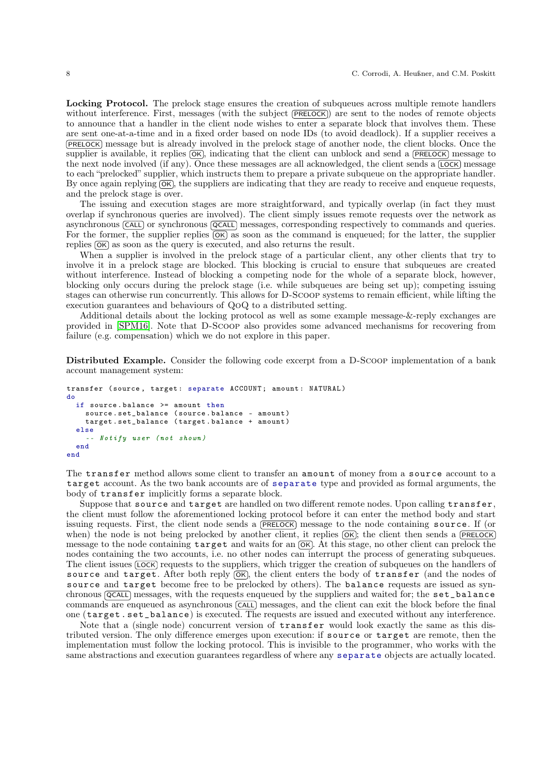Locking Protocol. The prelock stage ensures the creation of subqueues across multiple remote handlers without interference. First, messages (with the subject  $P$ RELOCK) are sent to the nodes of remote objects to announce that a handler in the client node wishes to enter a separate block that involves them. These are sent one-at-a-time and in a fixed order based on node IDs (to avoid deadlock). If a supplier receives a PRELOCK message but is already involved in the prelock stage of another node, the client blocks. Once the supplier is available, it replies  $\overline{OX}$ , indicating that the client can unblock and send a  $\overline{PREืmathrm{DCK}}$  message to the next node involved (if any). Once these messages are all acknowledged, the client sends a  $\overline{[Lock]}$  message to each "prelocked" supplier, which instructs them to prepare a private subqueue on the appropriate handler. By once again replying  $(X)$ , the suppliers are indicating that they are ready to receive and enqueue requests, and the prelock stage is over.

The issuing and execution stages are more straightforward, and typically overlap (in fact they must overlap if synchronous queries are involved). The client simply issues remote requests over the network as asynchronous  $\overline{CALL}$  or synchronous  $\overline{QCALL}$  messages, corresponding respectively to commands and queries. For the former, the supplier replies  $\overline{OR}$  as soon as the command is enqueued; for the latter, the supplier replies  $(X)$  as soon as the query is executed, and also returns the result.

When a supplier is involved in the prelock stage of a particular client, any other clients that try to involve it in a prelock stage are blocked. This blocking is crucial to ensure that subqueues are created without interference. Instead of blocking a competing node for the whole of a separate block, however, blocking only occurs during the prelock stage (i.e. while subqueues are being set up); competing issuing stages can otherwise run concurrently. This allows for D-Scoop systems to remain efficient, while lifting the execution guarantees and behaviours of QoQ to a distributed setting.

Additional details about the locking protocol as well as some example message-&-reply exchanges are provided in [\[SPM16\]](#page-29-2). Note that D-Scoop also provides some advanced mechanisms for recovering from failure (e.g. compensation) which we do not explore in this paper.

Distributed Example. Consider the following code excerpt from a D-Scoop implementation of a bank account management system:

```
transfer (source, target: separate ACCOUNT; amount: NATURAL)
do
  if source . balance >= amount then
    source . set_balance ( source . balance - amount )
    target . set_balance ( target . balance + amount )
  else
    -- Notify user (not shown)
  end
end
```
The transfer method allows some client to transfer an amount of money from a source account to a target account. As the two bank accounts are of separate type and provided as formal arguments, the body of transfer implicitly forms a separate block.

Suppose that source and target are handled on two different remote nodes. Upon calling transfer, the client must follow the aforementioned locking protocol before it can enter the method body and start issuing requests. First, the client node sends a  $[PRELock]$  message to the node containing source. If (or when) the node is not being prelocked by another client, it replies  $\overline{OR}$ ; the client then sends a  $\overline{PREICK}$ message to the node containing  $\texttt{target}$  and waits for an  $\overline{OK}$ . At this stage, no other client can prelock the nodes containing the two accounts, i.e. no other nodes can interrupt the process of generating subqueues. The client issues  $\overline{LOCK}$  requests to the suppliers, which trigger the creation of subqueues on the handlers of source and target. After both reply  $\overline{OR}$ , the client enters the body of transfer (and the nodes of source and target become free to be prelocked by others). The balance requests are issued as synchronous QCALL messages, with the requests enqueued by the suppliers and waited for; the set\_balance commands are enqueued as asynchronous CALL messages, and the client can exit the block before the final one (target . set\_balance) is executed. The requests are issued and executed without any interference.

Note that a (single node) concurrent version of  $transfer$  would look exactly the same as this distributed version. The only difference emerges upon execution: if source or target are remote, then the implementation must follow the locking protocol. This is invisible to the programmer, who works with the same abstractions and execution guarantees regardless of where any separate objects are actually located.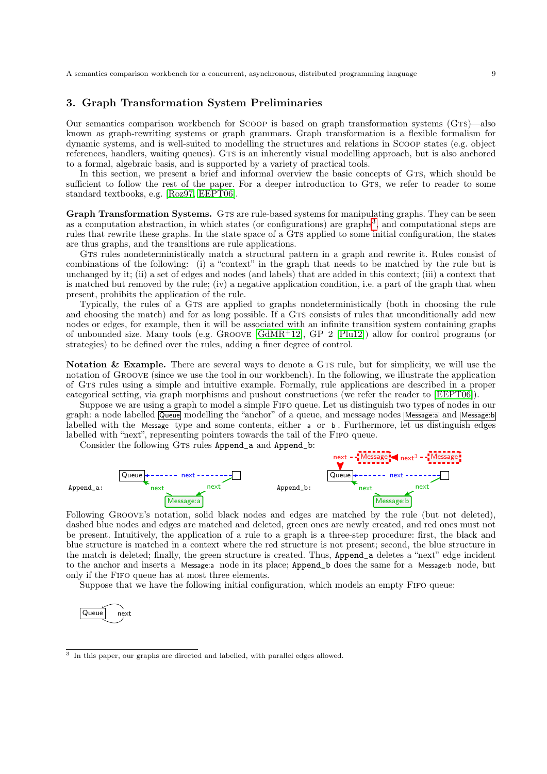A semantics comparison workbench for a concurrent, asynchronous, distributed programming language 9

## <span id="page-8-0"></span>3. Graph Transformation System Preliminaries

Our semantics comparison workbench for Scoop is based on graph transformation systems (Gts)—also known as graph-rewriting systems or graph grammars. Graph transformation is a flexible formalism for dynamic systems, and is well-suited to modelling the structures and relations in Scoop states (e.g. object references, handlers, waiting queues). GTs is an inherently visual modelling approach, but is also anchored to a formal, algebraic basis, and is supported by a variety of practical tools.

In this section, we present a brief and informal overview the basic concepts of GTS, which should be sufficient to follow the rest of the paper. For a deeper introduction to GTS, we refer to reader to some standard textbooks, e.g. [\[Roz97,](#page-29-3) [EEPT06\]](#page-28-12).

Graph Transformation Systems. GTs are rule-based systems for manipulating graphs. They can be seen as a computation abstraction, in which states (or configurations) are graphs<sup>[3](#page-8-1)</sup>, and computational steps are rules that rewrite these graphs. In the state space of a GTS applied to some initial configuration, the states are thus graphs, and the transitions are rule applications.

GTS rules nondeterministically match a structural pattern in a graph and rewrite it. Rules consist of combinations of the following: (i) a "context" in the graph that needs to be matched by the rule but is unchanged by it; (ii) a set of edges and nodes (and labels) that are added in this context; (iii) a context that is matched but removed by the rule; (iv) a negative application condition, i.e. a part of the graph that when present, prohibits the application of the rule.

Typically, the rules of a GTS are applied to graphs nondeterministically (both in choosing the rule and choosing the match) and for as long possible. If a GTS consists of rules that unconditionally add new nodes or edges, for example, then it will be associated with an infinite transition system containing graphs of unbounded size. Many tools (e.g. Groove [\[GdMR](#page-28-9)<sup>+</sup>12], GP 2 [\[Plu12\]](#page-29-4)) allow for control programs (or strategies) to be defined over the rules, adding a finer degree of control.

Notation & Example. There are several ways to denote a GTs rule, but for simplicity, we will use the notation of Groove (since we use the tool in our workbench). In the following, we illustrate the application of Gts rules using a simple and intuitive example. Formally, rule applications are described in a proper categorical setting, via graph morphisms and pushout constructions (we refer the reader to [\[EEPT06\]](#page-28-12)).

Suppose we are using a graph to model a simple Fifo queue. Let us distinguish two types of nodes in our graph: a node labelled Queue modelling the "anchor" of a queue, and message nodes Message:a and Message:b labelled with the Message type and some contents, either a or b . Furthermore, let us distinguish edges labelled with "next", representing pointers towards the tail of the FIFO queue.

Consider the following GTS rules Append\_a and Append\_b:



Following Groove's notation, solid black nodes and edges are matched by the rule (but not deleted), dashed blue nodes and edges are matched and deleted, green ones are newly created, and red ones must not be present. Intuitively, the application of a rule to a graph is a three-step procedure: first, the black and blue structure is matched in a context where the red structure is not present; second, the blue structure in the match is deleted; finally, the green structure is created. Thus, Append\_a deletes a "next" edge incident to the anchor and inserts a Message:a node in its place; Append\_b does the same for a Message:b node, but only if the Fifo queue has at most three elements.

Suppose that we have the following initial configuration, which models an empty Fifo queue:

<span id="page-8-1"></span>

<sup>&</sup>lt;sup>3</sup> In this paper, our graphs are directed and labelled, with parallel edges allowed.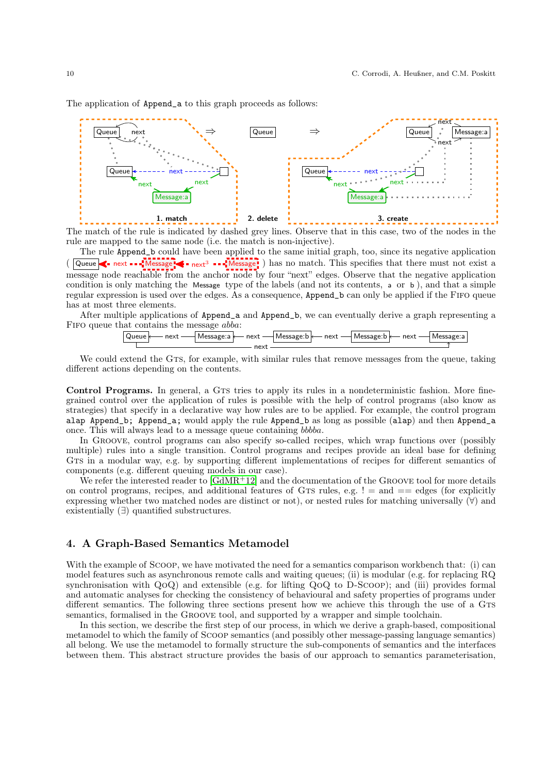The application of Append\_a to this graph proceeds as follows:



The match of the rule is indicated by dashed grey lines. Observe that in this case, two of the nodes in the rule are mapped to the same node (i.e. the match is non-injective).

The rule Append\_b could have been applied to the same initial graph, too, since its negative application ( Queue next Message next<sup>3</sup> Message ) has no match. This specifies that there must not exist a message node reachable from the anchor node by four "next" edges. Observe that the negative application condition is only matching the Message type of the labels (and not its contents, a or b ), and that a simple regular expression is used over the edges. As a consequence, Append\_b can only be applied if the Fifo queue has at most three elements.

After multiple applications of Append\_a and Append\_b, we can eventually derive a graph representing a Fifo queue that contains the message abba:



We could extend the GTS, for example, with similar rules that remove messages from the queue, taking different actions depending on the contents.

Control Programs. In general, a GTs tries to apply its rules in a nondeterministic fashion. More finegrained control over the application of rules is possible with the help of control programs (also know as strategies) that specify in a declarative way how rules are to be applied. For example, the control program alap Append\_b; Append\_a; would apply the rule Append\_b as long as possible (alap) and then Append\_a once. This will always lead to a message queue containing bbbba.

In GROOVE, control programs can also specify so-called recipes, which wrap functions over (possibly multiple) rules into a single transition. Control programs and recipes provide an ideal base for defining GTS in a modular way, e.g. by supporting different implementations of recipes for different semantics of components (e.g. different queuing models in our case).

We refer the interested reader to  $\lceil \text{GMMR}^+12 \rceil$  and the documentation of the GROOVE tool for more details on control programs, recipes, and additional features of GTs rules, e.g.  $!=$  and  $==$  edges (for explicitly expressing whether two matched nodes are distinct or not), or nested rules for matching universally (∀) and existentially (∃) quantified substructures.

## <span id="page-9-0"></span>4. A Graph-Based Semantics Metamodel

With the example of SCOOP, we have motivated the need for a semantics comparison workbench that: (i) can model features such as asynchronous remote calls and waiting queues; (ii) is modular (e.g. for replacing RQ synchronisation with QoQ) and extensible (e.g. for lifting QoQ to D-Scoop); and (iii) provides formal and automatic analyses for checking the consistency of behavioural and safety properties of programs under different semantics. The following three sections present how we achieve this through the use of a GTS semantics, formalised in the Groove tool, and supported by a wrapper and simple toolchain.

In this section, we describe the first step of our process, in which we derive a graph-based, compositional metamodel to which the family of Scoop semantics (and possibly other message-passing language semantics) all belong. We use the metamodel to formally structure the sub-components of semantics and the interfaces between them. This abstract structure provides the basis of our approach to semantics parameterisation,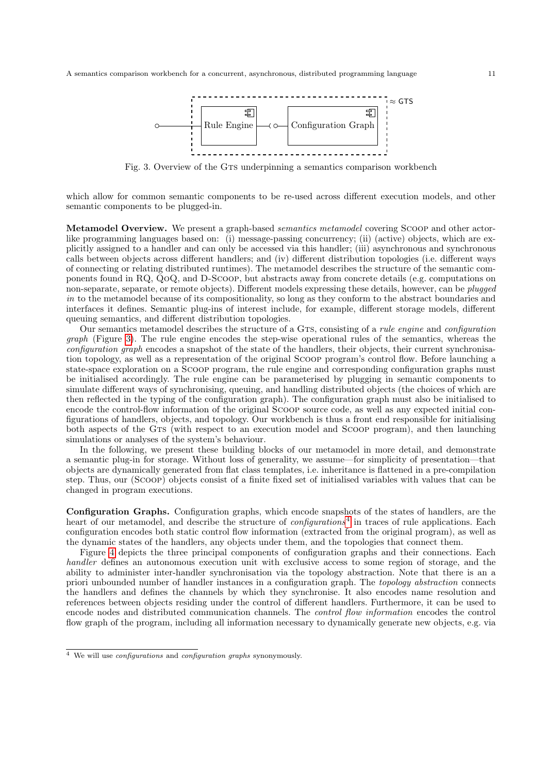

<span id="page-10-0"></span>Fig. 3. Overview of the GTS underpinning a semantics comparison workbench

which allow for common semantic components to be re-used across different execution models, and other semantic components to be plugged-in.

Metamodel Overview. We present a graph-based semantics metamodel covering Scoop and other actorlike programming languages based on: (i) message-passing concurrency; (ii) (active) objects, which are explicitly assigned to a handler and can only be accessed via this handler; (iii) asynchronous and synchronous calls between objects across different handlers; and (iv) different distribution topologies (i.e. different ways of connecting or relating distributed runtimes). The metamodel describes the structure of the semantic components found in RQ, QoQ, and D-Scoop, but abstracts away from concrete details (e.g. computations on non-separate, separate, or remote objects). Different models expressing these details, however, can be *plugged* in to the metamodel because of its compositionality, so long as they conform to the abstract boundaries and interfaces it defines. Semantic plug-ins of interest include, for example, different storage models, different queuing semantics, and different distribution topologies.

Our semantics metamodel describes the structure of a GTS, consisting of a *rule engine* and *configuration* graph (Figure [3\)](#page-10-0). The rule engine encodes the step-wise operational rules of the semantics, whereas the configuration graph encodes a snapshot of the state of the handlers, their objects, their current synchronisation topology, as well as a representation of the original Scoop program's control flow. Before launching a state-space exploration on a Scoop program, the rule engine and corresponding configuration graphs must be initialised accordingly. The rule engine can be parameterised by plugging in semantic components to simulate different ways of synchronising, queuing, and handling distributed objects (the choices of which are then reflected in the typing of the configuration graph). The configuration graph must also be initialised to encode the control-flow information of the original Scoop source code, as well as any expected initial configurations of handlers, objects, and topology. Our workbench is thus a front end responsible for initialising both aspects of the GTs (with respect to an execution model and SCOOP program), and then launching simulations or analyses of the system's behaviour.

In the following, we present these building blocks of our metamodel in more detail, and demonstrate a semantic plug-in for storage. Without loss of generality, we assume—for simplicity of presentation—that objects are dynamically generated from flat class templates, i.e. inheritance is flattened in a pre-compilation step. Thus, our (Scoop) objects consist of a finite fixed set of initialised variables with values that can be changed in program executions.

Configuration Graphs. Configuration graphs, which encode snapshots of the states of handlers, are the heart of our metamodel, and describe the structure of *configurations*<sup>[4](#page-10-1)</sup> in traces of rule applications. Each configuration encodes both static control flow information (extracted from the original program), as well as the dynamic states of the handlers, any objects under them, and the topologies that connect them.

Figure [4](#page-11-0) depicts the three principal components of configuration graphs and their connections. Each handler defines an autonomous execution unit with exclusive access to some region of storage, and the ability to administer inter-handler synchronisation via the topology abstraction. Note that there is an a priori unbounded number of handler instances in a configuration graph. The topology abstraction connects the handlers and defines the channels by which they synchronise. It also encodes name resolution and references between objects residing under the control of different handlers. Furthermore, it can be used to encode nodes and distributed communication channels. The control flow information encodes the control flow graph of the program, including all information necessary to dynamically generate new objects, e.g. via

<span id="page-10-1"></span> $\overline{4}$  We will use *configurations* and *configuration graphs* synonymously.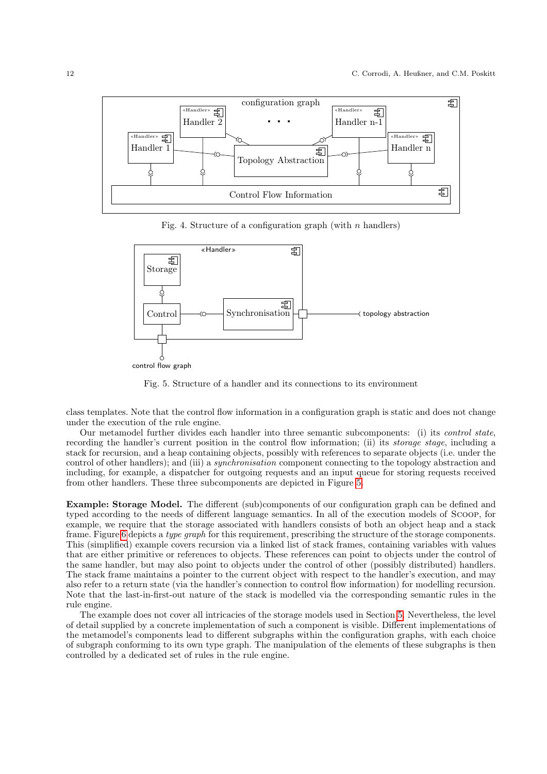

<span id="page-11-0"></span>Fig. 4. Structure of a configuration graph (with  $n$  handlers)



<span id="page-11-1"></span>Fig. 5. Structure of a handler and its connections to its environment

class templates. Note that the control flow information in a configuration graph is static and does not change under the execution of the rule engine.

Our metamodel further divides each handler into three semantic subcomponents: (i) its control state, recording the handler's current position in the control flow information; (ii) its storage stage, including a stack for recursion, and a heap containing objects, possibly with references to separate objects (i.e. under the control of other handlers); and (iii) a synchronisation component connecting to the topology abstraction and including, for example, a dispatcher for outgoing requests and an input queue for storing requests received from other handlers. These three subcomponents are depicted in Figure [5.](#page-11-1)

Example: Storage Model. The different (sub)components of our configuration graph can be defined and typed according to the needs of different language semantics. In all of the execution models of Scoop, for example, we require that the storage associated with handlers consists of both an object heap and a stack frame. Figure [6](#page-12-0) depicts a type graph for this requirement, prescribing the structure of the storage components. This (simplified) example covers recursion via a linked list of stack frames, containing variables with values that are either primitive or references to objects. These references can point to objects under the control of the same handler, but may also point to objects under the control of other (possibly distributed) handlers. The stack frame maintains a pointer to the current object with respect to the handler's execution, and may also refer to a return state (via the handler's connection to control flow information) for modelling recursion. Note that the last-in-first-out nature of the stack is modelled via the corresponding semantic rules in the rule engine.

The example does not cover all intricacies of the storage models used in Section [5.](#page-13-0) Nevertheless, the level of detail supplied by a concrete implementation of such a component is visible. Different implementations of the metamodel's components lead to different subgraphs within the configuration graphs, with each choice of subgraph conforming to its own type graph. The manipulation of the elements of these subgraphs is then controlled by a dedicated set of rules in the rule engine.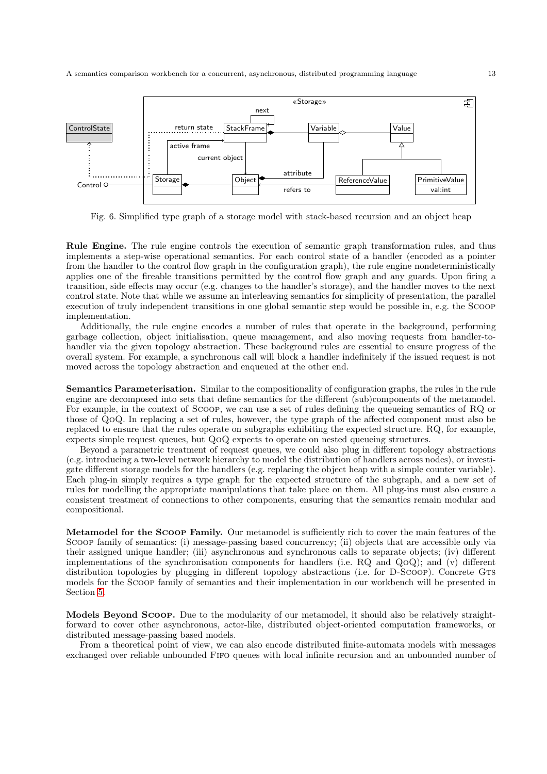

<span id="page-12-0"></span>Fig. 6. Simplified type graph of a storage model with stack-based recursion and an object heap

Rule Engine. The rule engine controls the execution of semantic graph transformation rules, and thus implements a step-wise operational semantics. For each control state of a handler (encoded as a pointer from the handler to the control flow graph in the configuration graph), the rule engine nondeterministically applies one of the fireable transitions permitted by the control flow graph and any guards. Upon firing a transition, side effects may occur (e.g. changes to the handler's storage), and the handler moves to the next control state. Note that while we assume an interleaving semantics for simplicity of presentation, the parallel execution of truly independent transitions in one global semantic step would be possible in, e.g. the Scoop implementation.

Additionally, the rule engine encodes a number of rules that operate in the background, performing garbage collection, object initialisation, queue management, and also moving requests from handler-tohandler via the given topology abstraction. These background rules are essential to ensure progress of the overall system. For example, a synchronous call will block a handler indefinitely if the issued request is not moved across the topology abstraction and enqueued at the other end.

Semantics Parameterisation. Similar to the compositionality of configuration graphs, the rules in the rule engine are decomposed into sets that define semantics for the different (sub)components of the metamodel. For example, in the context of Scoop, we can use a set of rules defining the queueing semantics of RQ or those of QoQ. In replacing a set of rules, however, the type graph of the affected component must also be replaced to ensure that the rules operate on subgraphs exhibiting the expected structure. RQ, for example, expects simple request queues, but QoQ expects to operate on nested queueing structures.

Beyond a parametric treatment of request queues, we could also plug in different topology abstractions (e.g. introducing a two-level network hierarchy to model the distribution of handlers across nodes), or investigate different storage models for the handlers (e.g. replacing the object heap with a simple counter variable). Each plug-in simply requires a type graph for the expected structure of the subgraph, and a new set of rules for modelling the appropriate manipulations that take place on them. All plug-ins must also ensure a consistent treatment of connections to other components, ensuring that the semantics remain modular and compositional.

Metamodel for the Scoop Family. Our metamodel is sufficiently rich to cover the main features of the Scoop family of semantics: (i) message-passing based concurrency; (ii) objects that are accessible only via their assigned unique handler; (iii) asynchronous and synchronous calls to separate objects; (iv) different implementations of the synchronisation components for handlers (i.e. RQ and QoQ); and (v) different distribution topologies by plugging in different topology abstractions (i.e. for D-SCOOP). Concrete GTS models for the Scoop family of semantics and their implementation in our workbench will be presented in Section [5.](#page-13-0)

Models Beyond Scoop. Due to the modularity of our metamodel, it should also be relatively straightforward to cover other asynchronous, actor-like, distributed object-oriented computation frameworks, or distributed message-passing based models.

From a theoretical point of view, we can also encode distributed finite-automata models with messages exchanged over reliable unbounded Fifo queues with local infinite recursion and an unbounded number of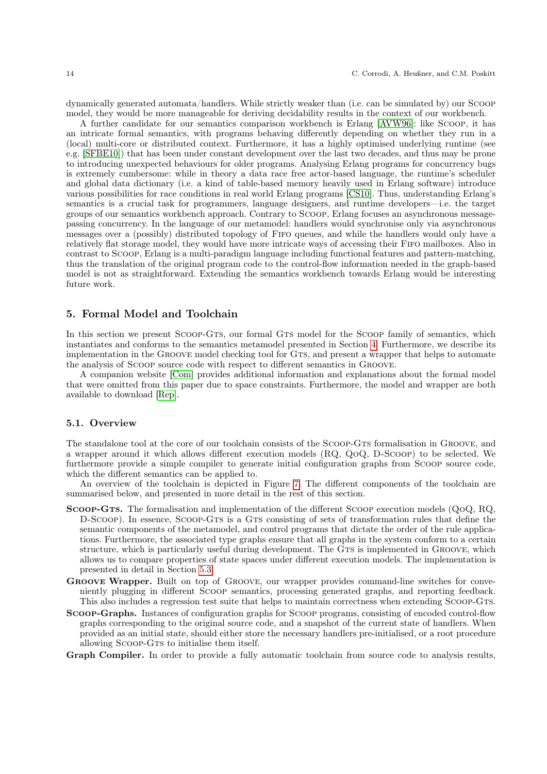dynamically generated automata/handlers. While strictly weaker than (i.e. can be simulated by) our Scoop model, they would be more manageable for deriving decidability results in the context of our workbench.

A further candidate for our semantics comparison workbench is Erlang [\[AVW96\]](#page-27-3): like Scoop, it has an intricate formal semantics, with programs behaving differently depending on whether they run in a (local) multi-core or distributed context. Furthermore, it has a highly optimised underlying runtime (see e.g. [\[SFBE10\]](#page-29-5)) that has been under constant development over the last two decades, and thus may be prone to introducing unexpected behaviours for older programs. Analysing Erlang programs for concurrency bugs is extremely cumbersome: while in theory a data race free actor-based language, the runtime's scheduler and global data dictionary (i.e. a kind of table-based memory heavily used in Erlang software) introduce various possibilities for race conditions in real world Erlang programs [\[CS10\]](#page-28-13). Thus, understanding Erlang's semantics is a crucial task for programmers, language designers, and runtime developers—i.e. the target groups of our semantics workbench approach. Contrary to Scoop, Erlang focuses an asynchronous messagepassing concurrency. In the language of our metamodel: handlers would synchronise only via asynchronous messages over a (possibly) distributed topology of Fifo queues, and while the handlers would only have a relatively flat storage model, they would have more intricate ways of accessing their Fifo mailboxes. Also in contrast to Scoop, Erlang is a multi-paradigm language including functional features and pattern-matching, thus the translation of the original program code to the control-flow information needed in the graph-based model is not as straightforward. Extending the semantics workbench towards Erlang would be interesting future work.

### <span id="page-13-0"></span>5. Formal Model and Toolchain

In this section we present SCOOP-GTS, our formal GTS model for the SCOOP family of semantics, which instantiates and conforms to the semantics metamodel presented in Section [4.](#page-9-0) Furthermore, we describe its implementation in the GROOVE model checking tool for GTS, and present a wrapper that helps to automate the analysis of Scoop source code with respect to different semantics in Groove.

A companion website [\[Com\]](#page-28-14) provides additional information and explanations about the formal model that were omitted from this paper due to space constraints. Furthermore, the model and wrapper are both available to download [\[Rep\]](#page-29-6).

#### 5.1. Overview

The standalone tool at the core of our toolchain consists of the SCOOP-GTS formalisation in GROOVE, and a wrapper around it which allows different execution models (RQ, QoQ, D-Scoop) to be selected. We furthermore provide a simple compiler to generate initial configuration graphs from Scoop source code, which the different semantics can be applied to.

An overview of the toolchain is depicted in Figure [7.](#page-14-0) The different components of the toolchain are summarised below, and presented in more detail in the rest of this section.

- Scoop-Gts. The formalisation and implementation of the different Scoop execution models (QoQ, RQ, D-SCOOP). In essence, SCOOP-GTS is a GTS consisting of sets of transformation rules that define the semantic components of the metamodel, and control programs that dictate the order of the rule applications. Furthermore, the associated type graphs ensure that all graphs in the system conform to a certain structure, which is particularly useful during development. The GTS is implemented in GROOVE, which allows us to compare properties of state spaces under different execution models. The implementation is presented in detail in Section [5.3.](#page-16-0)
- GROOVE Wrapper. Built on top of GROOVE, our wrapper provides command-line switches for conveniently plugging in different Scoop semantics, processing generated graphs, and reporting feedback. This also includes a regression test suite that helps to maintain correctness when extending Scoop-Gts.
- Scoop-Graphs. Instances of configuration graphs for Scoop programs, consisting of encoded control-flow graphs corresponding to the original source code, and a snapshot of the current state of handlers. When provided as an initial state, should either store the necessary handlers pre-initialised, or a root procedure allowing SCOOP-GTS to initialise them itself.

Graph Compiler. In order to provide a fully automatic toolchain from source code to analysis results,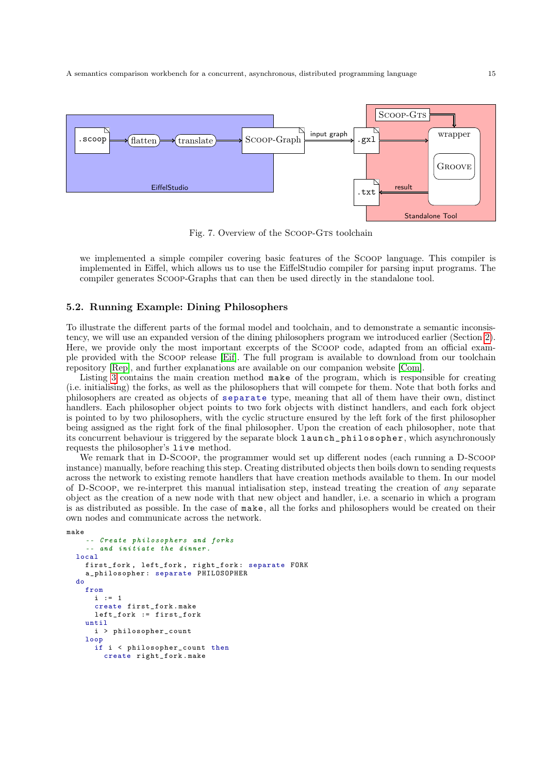

<span id="page-14-0"></span>Fig. 7. Overview of the SCOOP-GTS toolchain

we implemented a simple compiler covering basic features of the Scoop language. This compiler is implemented in Eiffel, which allows us to use the EiffelStudio compiler for parsing input programs. The compiler generates Scoop-Graphs that can then be used directly in the standalone tool.

## 5.2. Running Example: Dining Philosophers

To illustrate the different parts of the formal model and toolchain, and to demonstrate a semantic inconsistency, we will use an expanded version of the dining philosophers program we introduced earlier (Section [2\)](#page-3-0). Here, we provide only the most important excerpts of the Scoop code, adapted from an official example provided with the Scoop release [\[Eif\]](#page-28-7). The full program is available to download from our toolchain repository [\[Rep\]](#page-29-6), and further explanations are available on our companion website [\[Com\]](#page-28-14).

Listing [3](#page-14-1) contains the main creation method make of the program, which is responsible for creating (i.e. initialising) the forks, as well as the philosophers that will compete for them. Note that both forks and philosophers are created as objects of separate type, meaning that all of them have their own, distinct handlers. Each philosopher object points to two fork objects with distinct handlers, and each fork object is pointed to by two philosophers, with the cyclic structure ensured by the left fork of the first philosopher being assigned as the right fork of the final philosopher. Upon the creation of each philosopher, note that its concurrent behaviour is triggered by the separate block launch\_philosopher, which asynchronously requests the philosopher's live method.

We remark that in D-Scoop, the programmer would set up different nodes (each running a D-Scoop instance) manually, before reaching this step. Creating distributed objects then boils down to sending requests across the network to existing remote handlers that have creation methods available to them. In our model of D-Scoop, we re-interpret this manual intialisation step, instead treating the creation of any separate object as the creation of a new node with that new object and handler, i.e. a scenario in which a program is as distributed as possible. In the case of make, all the forks and philosophers would be created on their own nodes and communicate across the network.

```
make
    -- Create philosophers and forks
    -- and initiate the dinner .
  local
    first_fork, left_fork, right_fork: separate FORK
    a_philosopher : separate PHILOSOPHER
  do
    from
      i := 1
      create first_fork . make
      left fork := first fork
    until
      i > philosopher_count
    loop
      if i < philosopher_count then
        create right_fork . make
```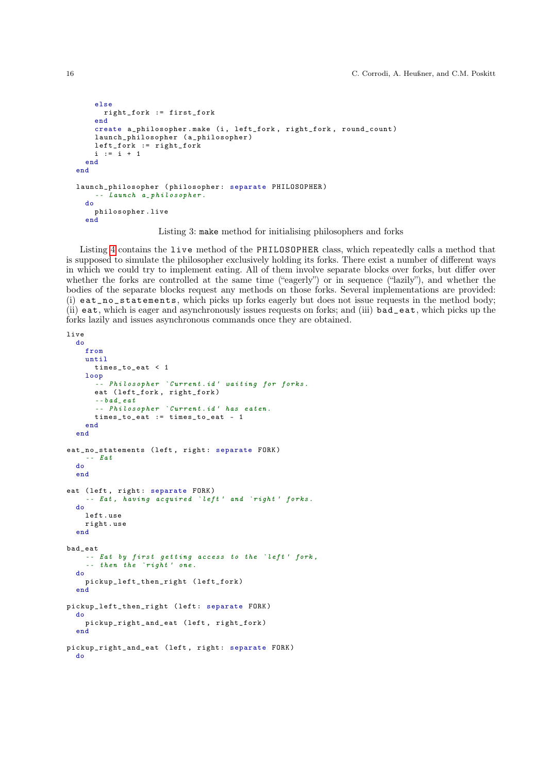```
else
     right_fork := first_fork
    end
    create a_philosopher.make (i, left_fork, right_fork, round_count)
    launch_philosopher ( a_philosopher )
    left_fork := right_fork
    i := i + 1end
end
launch_philosopher ( philosopher : separate PHILOSOPHER )
    -- Launch a_philosopher .
  do
    philosopher . live
  end
```
Listing 3: make method for initialising philosophers and forks

Listing [4](#page-15-0) contains the live method of the PHILOSOPHER class, which repeatedly calls a method that is supposed to simulate the philosopher exclusively holding its forks. There exist a number of different ways in which we could try to implement eating. All of them involve separate blocks over forks, but differ over whether the forks are controlled at the same time ("eagerly") or in sequence ("lazily"), and whether the bodies of the separate blocks request any methods on those forks. Several implementations are provided: (i) eat\_no\_statements, which picks up forks eagerly but does not issue requests in the method body; (ii) eat, which is eager and asynchronously issues requests on forks; and (iii) bad\_eat, which picks up the forks lazily and issues asynchronous commands once they are obtained.

```
live
```

```
do
    from
    until
      times_to_eat < 1
    loop
      -- Philosopher `Current .id ' waiting for forks .
      eat ( left_fork , right_fork )
      --badeat
      -- Philosopher `Current .id ' has eaten .
      times_to_eat := times_to_eat - 1
    end
  end
eat_no_statements (left, right: separate FORK)
    -- Eat
  do
  end
eat (left, right: separate FORK)
    .<br>-- Eat, having acquired 'left' and 'right' forks.
  do
    left . use
    right . use
  end
bad_eat
    -- Eat by first getting access to the `left ' fork ,
    -- then the 'right' one.
  do
    pickup_left_then_right ( left_fork )
  end
pickup_left_then_right (left: separate FORK)
  do
   pickup_right_and_eat ( left , right_fork )
  end
pickup_right_and_eat ( left , right : separate FORK )
  do
```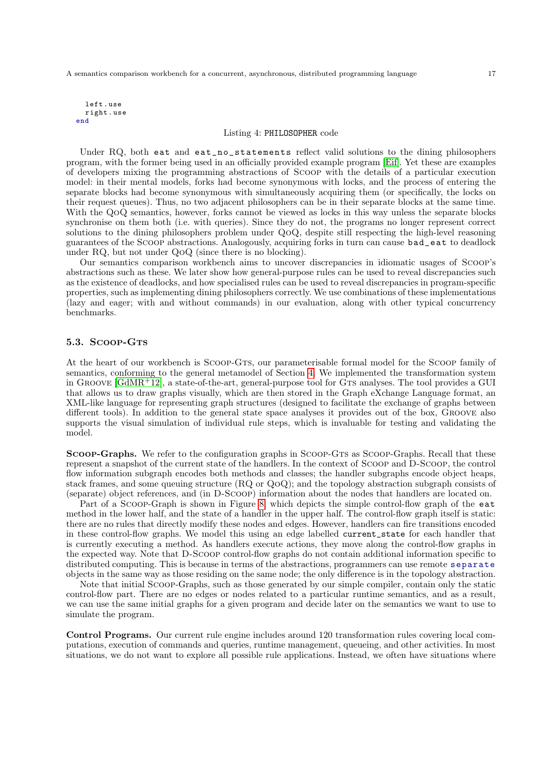A semantics comparison workbench for a concurrent, asynchronous, distributed programming language 17

left . use right . use end

#### Listing 4: PHILOSOPHER code

Under RQ, both eat and eat\_no\_statements reflect valid solutions to the dining philosophers program, with the former being used in an officially provided example program [\[Eif\]](#page-28-7). Yet these are examples of developers mixing the programming abstractions of Scoop with the details of a particular execution model: in their mental models, forks had become synonymous with locks, and the process of entering the separate blocks had become synonymous with simultaneously acquiring them (or specifically, the locks on their request queues). Thus, no two adjacent philosophers can be in their separate blocks at the same time. With the QoQ semantics, however, forks cannot be viewed as locks in this way unless the separate blocks synchronise on them both (i.e. with queries). Since they do not, the programs no longer represent correct solutions to the dining philosophers problem under QoQ, despite still respecting the high-level reasoning guarantees of the Scoop abstractions. Analogously, acquiring forks in turn can cause bad\_eat to deadlock under RQ, but not under QoQ (since there is no blocking).

Our semantics comparison workbench aims to uncover discrepancies in idiomatic usages of Scoop's abstractions such as these. We later show how general-purpose rules can be used to reveal discrepancies such as the existence of deadlocks, and how specialised rules can be used to reveal discrepancies in program-specific properties, such as implementing dining philosophers correctly. We use combinations of these implementations (lazy and eager; with and without commands) in our evaluation, along with other typical concurrency benchmarks.

#### <span id="page-16-0"></span>5.3. Scoop-GTS

At the heart of our workbench is Scoop-Gts, our parameterisable formal model for the Scoop family of semantics, conforming to the general metamodel of Section [4.](#page-9-0) We implemented the transformation system in GROOVE [\[GdMR](#page-28-9)<sup>+</sup>12], a state-of-the-art, general-purpose tool for GTS analyses. The tool provides a GUI that allows us to draw graphs visually, which are then stored in the Graph eXchange Language format, an XML-like language for representing graph structures (designed to facilitate the exchange of graphs between different tools). In addition to the general state space analyses it provides out of the box, Groove also supports the visual simulation of individual rule steps, which is invaluable for testing and validating the model.

Scoop-Graphs. We refer to the configuration graphs in Scoop-Grs as Scoop-Graphs. Recall that these represent a snapshot of the current state of the handlers. In the context of Scoop and D-Scoop, the control flow information subgraph encodes both methods and classes; the handler subgraphs encode object heaps, stack frames, and some queuing structure (RQ or QoQ); and the topology abstraction subgraph consists of (separate) object references, and (in D-Scoop) information about the nodes that handlers are located on.

Part of a Scoop-Graph is shown in Figure [8,](#page-17-0) which depicts the simple control-flow graph of the eat method in the lower half, and the state of a handler in the upper half. The control-flow graph itself is static: there are no rules that directly modify these nodes and edges. However, handlers can fire transitions encoded in these control-flow graphs. We model this using an edge labelled current\_state for each handler that is currently executing a method. As handlers execute actions, they move along the control-flow graphs in the expected way. Note that D-Scoop control-flow graphs do not contain additional information specific to distributed computing. This is because in terms of the abstractions, programmers can use remote separate objects in the same way as those residing on the same node; the only difference is in the topology abstraction.

Note that initial Scoop-Graphs, such as those generated by our simple compiler, contain only the static control-flow part. There are no edges or nodes related to a particular runtime semantics, and as a result, we can use the same initial graphs for a given program and decide later on the semantics we want to use to simulate the program.

Control Programs. Our current rule engine includes around 120 transformation rules covering local computations, execution of commands and queries, runtime management, queueing, and other activities. In most situations, we do not want to explore all possible rule applications. Instead, we often have situations where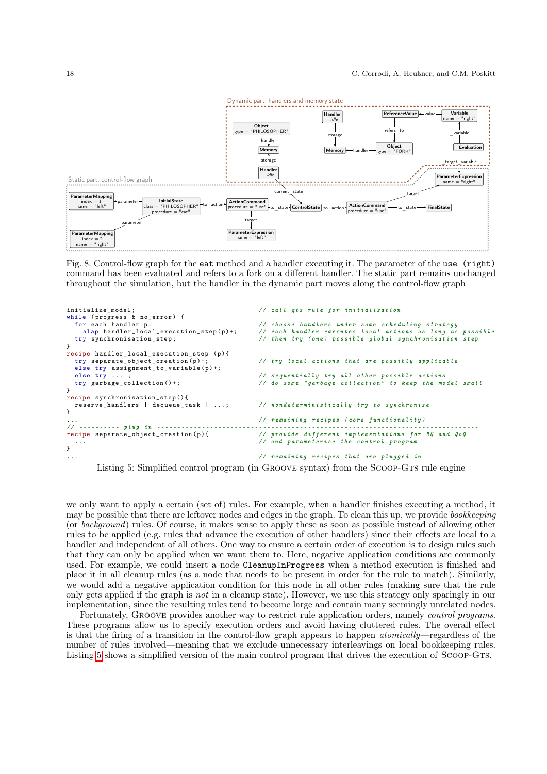

<span id="page-17-0"></span>Fig. 8. Control-flow graph for the eat method and a handler executing it. The parameter of the use (right) command has been evaluated and refers to a fork on a different handler. The static part remains unchanged throughout the simulation, but the handler in the dynamic part moves along the control-flow graph

<span id="page-17-1"></span>

| initialize_model;                        | // call gts rule for initialisation                        |
|------------------------------------------|------------------------------------------------------------|
| while (progress & no_error) {            |                                                            |
| for each handler p:                      | // choose handlers under some scheduling strategy          |
| alap handler_local_execution_step(p)+;   | // each handler executes local actions as long as possible |
| try synchronisation_step;                | // then try (one) possible global synchronisation step     |
| ŀ                                        |                                                            |
| recipe handler_local_execution_step (p){ |                                                            |
| try separate_object_creation(p)+;        | // try local actions that are possibly applicable          |
| else try assignment_to_variable(p)+;     |                                                            |
| else $try \ldots$ ;                      | // sequentially try all other possible actions             |
| try garbage_collection()+;               | // do some "garbage collection" to keep the model small    |
| }                                        |                                                            |
| recipe synchronisation_step(){           |                                                            |
| reserve_handlers   dequeue_task   ;      | // nondeterministically try to synchronise                 |
| $\mathbf{F}$                             |                                                            |
| $\cdot$ $\cdot$ $\cdot$                  | // remaining recipes (core functionality)                  |
| // ---------- plug in -------            |                                                            |
| $recipe$ separate_object_creation(p){    | // provide different implementations for RQ and QoQ        |
| $\cdots$                                 | // and parameterise the control program                    |
| $\mathbf{F}$                             |                                                            |
| $\cdots$                                 | // remaining recipes that are plugged in                   |
|                                          |                                                            |

Listing 5: Simplified control program (in GROOVE syntax) from the SCOOP-GTS rule engine

we only want to apply a certain (set of) rules. For example, when a handler finishes executing a method, it may be possible that there are leftover nodes and edges in the graph. To clean this up, we provide *bookkeeping* (or background) rules. Of course, it makes sense to apply these as soon as possible instead of allowing other rules to be applied (e.g. rules that advance the execution of other handlers) since their effects are local to a handler and independent of all others. One way to ensure a certain order of execution is to design rules such that they can only be applied when we want them to. Here, negative application conditions are commonly used. For example, we could insert a node CleanupInProgress when a method execution is finished and place it in all cleanup rules (as a node that needs to be present in order for the rule to match). Similarly, we would add a negative application condition for this node in all other rules (making sure that the rule only gets applied if the graph is not in a cleanup state). However, we use this strategy only sparingly in our implementation, since the resulting rules tend to become large and contain many seemingly unrelated nodes.

Fortunately, GROOVE provides another way to restrict rule application orders, namely *control programs*. These programs allow us to specify execution orders and avoid having cluttered rules. The overall effect is that the firing of a transition in the control-flow graph appears to happen atomically—regardless of the number of rules involved—meaning that we exclude unnecessary interleavings on local bookkeeping rules. Listing [5](#page-17-1) shows a simplified version of the main control program that drives the execution of SCOOP-GTs.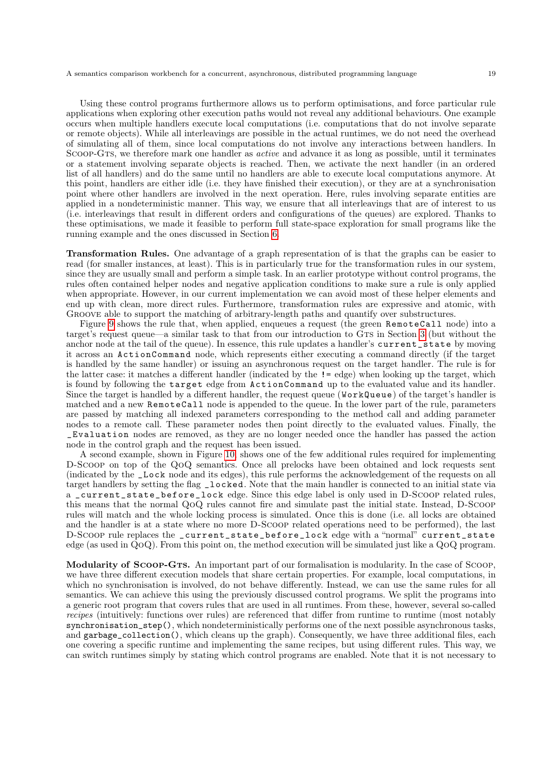Using these control programs furthermore allows us to perform optimisations, and force particular rule applications when exploring other execution paths would not reveal any additional behaviours. One example occurs when multiple handlers execute local computations (i.e. computations that do not involve separate or remote objects). While all interleavings are possible in the actual runtimes, we do not need the overhead of simulating all of them, since local computations do not involve any interactions between handlers. In SCOOP-GTS, we therefore mark one handler as *active* and advance it as long as possible, until it terminates or a statement involving separate objects is reached. Then, we activate the next handler (in an ordered list of all handlers) and do the same until no handlers are able to execute local computations anymore. At this point, handlers are either idle (i.e. they have finished their execution), or they are at a synchronisation point where other handlers are involved in the next operation. Here, rules involving separate entities are applied in a nondeterministic manner. This way, we ensure that all interleavings that are of interest to us (i.e. interleavings that result in different orders and configurations of the queues) are explored. Thanks to these optimisations, we made it feasible to perform full state-space exploration for small programs like the running example and the ones discussed in Section [6.](#page-22-0)

Transformation Rules. One advantage of a graph representation of is that the graphs can be easier to read (for smaller instances, at least). This is in particularly true for the transformation rules in our system, since they are usually small and perform a simple task. In an earlier prototype without control programs, the rules often contained helper nodes and negative application conditions to make sure a rule is only applied when appropriate. However, in our current implementation we can avoid most of these helper elements and end up with clean, more direct rules. Furthermore, transformation rules are expressive and atomic, with GROOVE able to support the matching of arbitrary-length paths and quantify over substructures.

Figure [9](#page-19-0) shows the rule that, when applied, enqueues a request (the green RemoteCall node) into a target's request queue—a similar task to that from our introduction to GTs in Section [3](#page-8-0) (but without the anchor node at the tail of the queue). In essence, this rule updates a handler's current\_state by moving it across an ActionCommand node, which represents either executing a command directly (if the target is handled by the same handler) or issuing an asynchronous request on the target handler. The rule is for the latter case: it matches a different handler (indicated by the != edge) when looking up the target, which is found by following the target edge from ActionCommand up to the evaluated value and its handler. Since the target is handled by a different handler, the request queue (WorkQueue) of the target's handler is matched and a new RemoteCall node is appended to the queue. In the lower part of the rule, parameters are passed by matching all indexed parameters corresponding to the method call and adding parameter nodes to a remote call. These parameter nodes then point directly to the evaluated values. Finally, the \_Evaluation nodes are removed, as they are no longer needed once the handler has passed the action node in the control graph and the request has been issued.

A second example, shown in Figure [10,](#page-19-1) shows one of the few additional rules required for implementing D-Scoop on top of the QoQ semantics. Once all prelocks have been obtained and lock requests sent (indicated by the \_Lock node and its edges), this rule performs the acknowledgement of the requests on all target handlers by setting the flag \_locked. Note that the main handler is connected to an initial state via a \_current\_state\_before\_lock edge. Since this edge label is only used in D-Scoop related rules, this means that the normal QoQ rules cannot fire and simulate past the initial state. Instead, D-Scoop rules will match and the whole locking process is simulated. Once this is done (i.e. all locks are obtained and the handler is at a state where no more D-Scoop related operations need to be performed), the last D-Scoop rule replaces the \_current\_state\_before\_lock edge with a "normal" current\_state edge (as used in QoQ). From this point on, the method execution will be simulated just like a QoQ program.

Modularity of SCOOP-GTS. An important part of our formalisation is modularity. In the case of SCOOP, we have three different execution models that share certain properties. For example, local computations, in which no synchronisation is involved, do not behave differently. Instead, we can use the same rules for all semantics. We can achieve this using the previously discussed control programs. We split the programs into a generic root program that covers rules that are used in all runtimes. From these, however, several so-called recipes (intuitively: functions over rules) are referenced that differ from runtime to runtime (most notably synchronisation\_step(), which nondeterministically performs one of the next possible asynchronous tasks, and garbage\_collection(), which cleans up the graph). Consequently, we have three additional files, each one covering a specific runtime and implementing the same recipes, but using different rules. This way, we can switch runtimes simply by stating which control programs are enabled. Note that it is not necessary to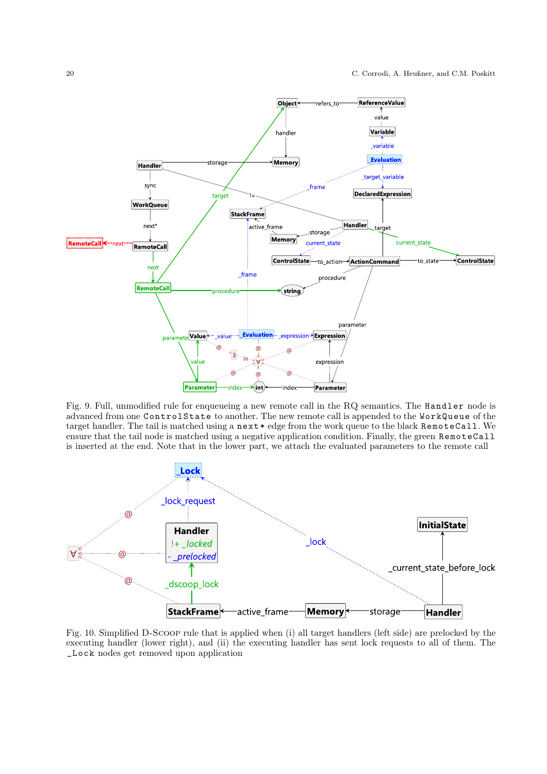

<span id="page-19-0"></span>Fig. 9. Full, unmodified rule for enqueueing a new remote call in the RQ semantics. The Handler node is advanced from one ControlState to another. The new remote call is appended to the WorkQueue of the target handler. The tail is matched using a next \* edge from the work queue to the black RemoteCall. We ensure that the tail node is matched using a negative application condition. Finally, the green RemoteCall is inserted at the end. Note that in the lower part, we attach the evaluated parameters to the remote call



<span id="page-19-1"></span>Fig. 10. Simplified D-Scoop rule that is applied when (i) all target handlers (left side) are prelocked by the executing handler (lower right), and (ii) the executing handler has sent lock requests to all of them. The \_Lock nodes get removed upon application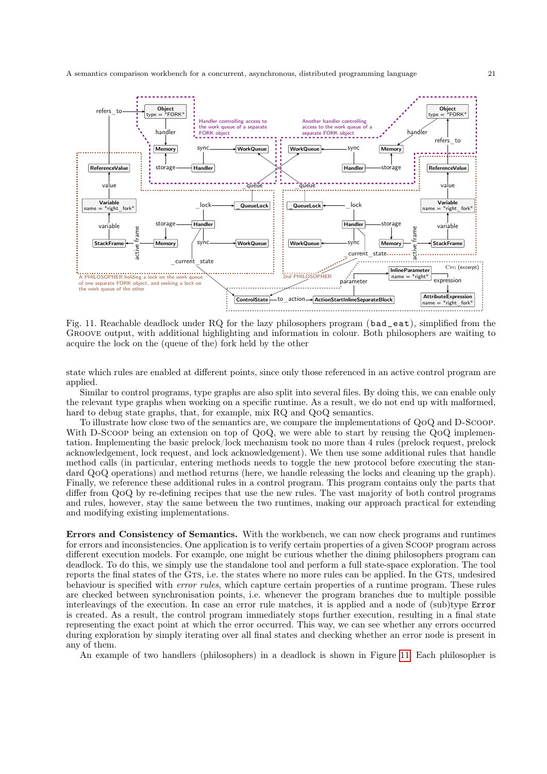

<span id="page-20-0"></span>Fig. 11. Reachable deadlock under RQ for the lazy philosophers program (bad\_eat), simplified from the Groove output, with additional highlighting and information in colour. Both philosophers are waiting to acquire the lock on the (queue of the) fork held by the other

state which rules are enabled at different points, since only those referenced in an active control program are applied.

Similar to control programs, type graphs are also split into several files. By doing this, we can enable only the relevant type graphs when working on a specific runtime. As a result, we do not end up with malformed, hard to debug state graphs, that, for example, mix RQ and QoQ semantics.

To illustrate how close two of the semantics are, we compare the implementations of QoQ and D-Scoop. With D-SCOOP being an extension on top of QOQ, we were able to start by reusing the QOQ implementation. Implementing the basic prelock/lock mechanism took no more than 4 rules (prelock request, prelock acknowledgement, lock request, and lock acknowledgement). We then use some additional rules that handle method calls (in particular, entering methods needs to toggle the new protocol before executing the standard QoQ operations) and method returns (here, we handle releasing the locks and cleaning up the graph). Finally, we reference these additional rules in a control program. This program contains only the parts that differ from QoQ by re-defining recipes that use the new rules. The vast majority of both control programs and rules, however, stay the same between the two runtimes, making our approach practical for extending and modifying existing implementations.

Errors and Consistency of Semantics. With the workbench, we can now check programs and runtimes for errors and inconsistencies. One application is to verify certain properties of a given Scoop program across different execution models. For example, one might be curious whether the dining philosophers program can deadlock. To do this, we simply use the standalone tool and perform a full state-space exploration. The tool reports the final states of the GTs, i.e. the states where no more rules can be applied. In the GTs, undesired behaviour is specified with *error rules*, which capture certain properties of a runtime program. These rules are checked between synchronisation points, i.e. whenever the program branches due to multiple possible interleavings of the execution. In case an error rule matches, it is applied and a node of (sub)type Error is created. As a result, the control program immediately stops further execution, resulting in a final state representing the exact point at which the error occurred. This way, we can see whether any errors occurred during exploration by simply iterating over all final states and checking whether an error node is present in any of them.

An example of two handlers (philosophers) in a deadlock is shown in Figure [11.](#page-20-0) Each philosopher is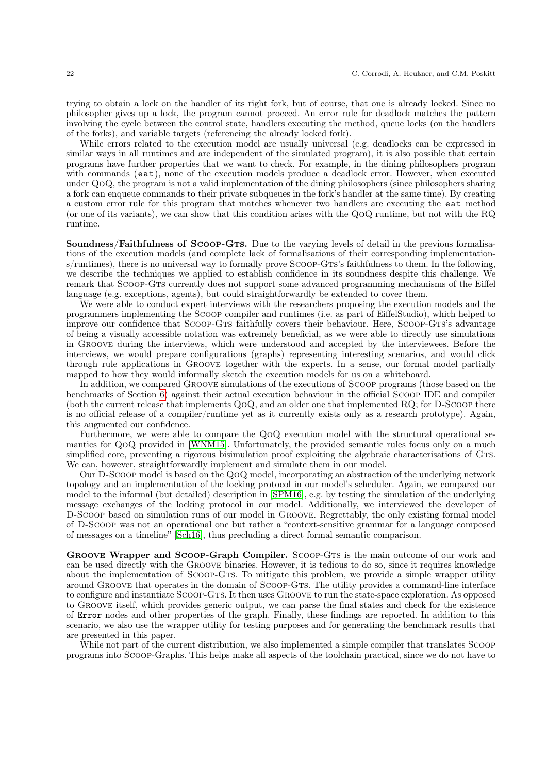trying to obtain a lock on the handler of its right fork, but of course, that one is already locked. Since no philosopher gives up a lock, the program cannot proceed. An error rule for deadlock matches the pattern involving the cycle between the control state, handlers executing the method, queue locks (on the handlers of the forks), and variable targets (referencing the already locked fork).

While errors related to the execution model are usually universal (e.g. deadlocks can be expressed in similar ways in all runtimes and are independent of the simulated program), it is also possible that certain programs have further properties that we want to check. For example, in the dining philosophers program with commands (eat), none of the execution models produce a deadlock error. However, when executed under QoQ, the program is not a valid implementation of the dining philosophers (since philosophers sharing a fork can enqueue commands to their private subqueues in the fork's handler at the same time). By creating a custom error rule for this program that matches whenever two handlers are executing the eat method (or one of its variants), we can show that this condition arises with the QoQ runtime, but not with the RQ runtime.

Soundness/Faithfulness of SCOOP-GTs. Due to the varying levels of detail in the previous formalisations of the execution models (and complete lack of formalisations of their corresponding implementations/runtimes), there is no universal way to formally prove SCOOP-GTS's faithfulness to them. In the following, we describe the techniques we applied to establish confidence in its soundness despite this challenge. We remark that Scoop-Gts currently does not support some advanced programming mechanisms of the Eiffel language (e.g. exceptions, agents), but could straightforwardly be extended to cover them.

We were able to conduct expert interviews with the researchers proposing the execution models and the programmers implementing the Scoop compiler and runtimes (i.e. as part of EiffelStudio), which helped to improve our confidence that SCOOP-GTS faithfully covers their behaviour. Here, SCOOP-GTS's advantage of being a visually accessible notation was extremely beneficial, as we were able to directly use simulations in Groove during the interviews, which were understood and accepted by the interviewees. Before the interviews, we would prepare configurations (graphs) representing interesting scenarios, and would click through rule applications in Groove together with the experts. In a sense, our formal model partially mapped to how they would informally sketch the execution models for us on a whiteboard.

In addition, we compared Groove simulations of the executions of Scoop programs (those based on the benchmarks of Section [6\)](#page-22-0) against their actual execution behaviour in the official Scoop IDE and compiler (both the current release that implements QoQ, and an older one that implemented RQ; for D-Scoop there is no official release of a compiler/runtime yet as it currently exists only as a research prototype). Again, this augmented our confidence.

Furthermore, we were able to compare the QoQ execution model with the structural operational semantics for QoQ provided in [\[WNM15\]](#page-29-0). Unfortunately, the provided semantic rules focus only on a much simplified core, preventing a rigorous bisimulation proof exploiting the algebraic characterisations of GTs. We can, however, straightforwardly implement and simulate them in our model.

Our D-Scoop model is based on the QoQ model, incorporating an abstraction of the underlying network topology and an implementation of the locking protocol in our model's scheduler. Again, we compared our model to the informal (but detailed) description in [\[SPM16\]](#page-29-2), e.g. by testing the simulation of the underlying message exchanges of the locking protocol in our model. Additionally, we interviewed the developer of D-Scoop based on simulation runs of our model in Groove. Regrettably, the only existing formal model of D-Scoop was not an operational one but rather a "context-sensitive grammar for a language composed of messages on a timeline" [\[Sch16\]](#page-29-7), thus precluding a direct formal semantic comparison.

GROOVE Wrapper and SCOOP-Graph Compiler. SCOOP-GTS is the main outcome of our work and can be used directly with the Groove binaries. However, it is tedious to do so, since it requires knowledge about the implementation of SCOOP-GTS. To mitigate this problem, we provide a simple wrapper utility around GROOVE that operates in the domain of SCOOP-GTS. The utility provides a command-line interface to configure and instantiate Scoop-Gts. It then uses Groove to run the state-space exploration. As opposed to Groove itself, which provides generic output, we can parse the final states and check for the existence of Error nodes and other properties of the graph. Finally, these findings are reported. In addition to this scenario, we also use the wrapper utility for testing purposes and for generating the benchmark results that are presented in this paper.

While not part of the current distribution, we also implemented a simple compiler that translates SCOOP programs into Scoop-Graphs. This helps make all aspects of the toolchain practical, since we do not have to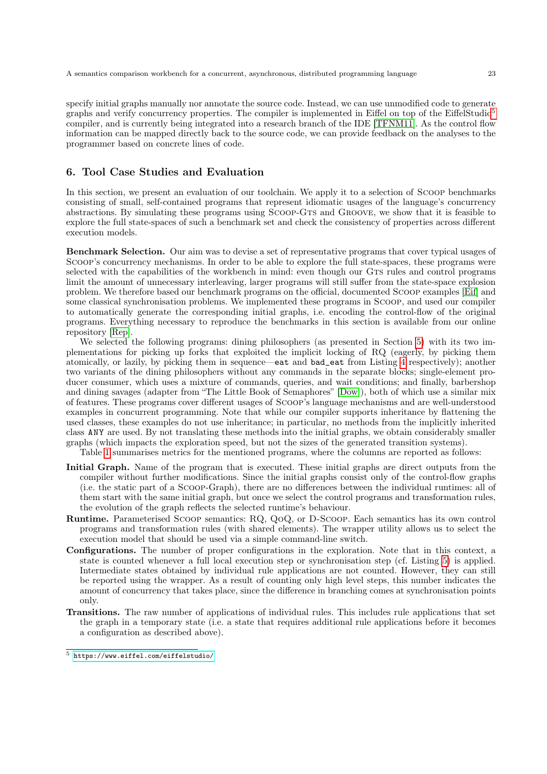specify initial graphs manually nor annotate the source code. Instead, we can use unmodified code to generate graphs and verify concurrency properties. The compiler is implemented in Eiffel on top of the EiffelStudio<sup>[5](#page-22-1)</sup> compiler, and is currently being integrated into a research branch of the IDE [\[TFNM11\]](#page-29-8). As the control flow information can be mapped directly back to the source code, we can provide feedback on the analyses to the programmer based on concrete lines of code.

## <span id="page-22-0"></span>6. Tool Case Studies and Evaluation

In this section, we present an evaluation of our toolchain. We apply it to a selection of Scoop benchmarks consisting of small, self-contained programs that represent idiomatic usages of the language's concurrency abstractions. By simulating these programs using Scoop-Gts and Groove, we show that it is feasible to explore the full state-spaces of such a benchmark set and check the consistency of properties across different execution models.

Benchmark Selection. Our aim was to devise a set of representative programs that cover typical usages of Scoop's concurrency mechanisms. In order to be able to explore the full state-spaces, these programs were selected with the capabilities of the workbench in mind: even though our GTS rules and control programs limit the amount of unnecessary interleaving, larger programs will still suffer from the state-space explosion problem. We therefore based our benchmark programs on the official, documented Scoop examples [\[Eif\]](#page-28-7) and some classical synchronisation problems. We implemented these programs in Scoop, and used our compiler to automatically generate the corresponding initial graphs, i.e. encoding the control-flow of the original programs. Everything necessary to reproduce the benchmarks in this section is available from our online repository [\[Rep\]](#page-29-6).

We selected the following programs: dining philosophers (as presented in Section [5\)](#page-13-0) with its two implementations for picking up forks that exploited the implicit locking of RQ (eagerly, by picking them atomically, or lazily, by picking them in sequence—eat and bad\_eat from Listing [4](#page-15-0) respectively); another two variants of the dining philosophers without any commands in the separate blocks; single-element producer consumer, which uses a mixture of commands, queries, and wait conditions; and finally, barbershop and dining savages (adapter from "The Little Book of Semaphores" [\[Dow\]](#page-28-15)), both of which use a similar mix of features. These programs cover different usages of Scoop's language mechanisms and are well-understood examples in concurrent programming. Note that while our compiler supports inheritance by flattening the used classes, these examples do not use inheritance; in particular, no methods from the implicitly inherited class ANY are used. By not translating these methods into the initial graphs, we obtain considerably smaller graphs (which impacts the exploration speed, but not the sizes of the generated transition systems).

Table [1](#page-24-0) summarises metrics for the mentioned programs, where the columns are reported as follows:

- Initial Graph. Name of the program that is executed. These initial graphs are direct outputs from the compiler without further modifications. Since the initial graphs consist only of the control-flow graphs (i.e. the static part of a Scoop-Graph), there are no differences between the individual runtimes: all of them start with the same initial graph, but once we select the control programs and transformation rules, the evolution of the graph reflects the selected runtime's behaviour.
- Runtime. Parameterised Scoop semantics: RQ, QoQ, or D-Scoop. Each semantics has its own control programs and transformation rules (with shared elements). The wrapper utility allows us to select the execution model that should be used via a simple command-line switch.
- Configurations. The number of proper configurations in the exploration. Note that in this context, a state is counted whenever a full local execution step or synchronisation step (cf. Listing [5\)](#page-17-1) is applied. Intermediate states obtained by individual rule applications are not counted. However, they can still be reported using the wrapper. As a result of counting only high level steps, this number indicates the amount of concurrency that takes place, since the difference in branching comes at synchronisation points only.
- Transitions. The raw number of applications of individual rules. This includes rule applications that set the graph in a temporary state (i.e. a state that requires additional rule applications before it becomes a configuration as described above).

<span id="page-22-1"></span><sup>5</sup> <https://www.eiffel.com/eiffelstudio/>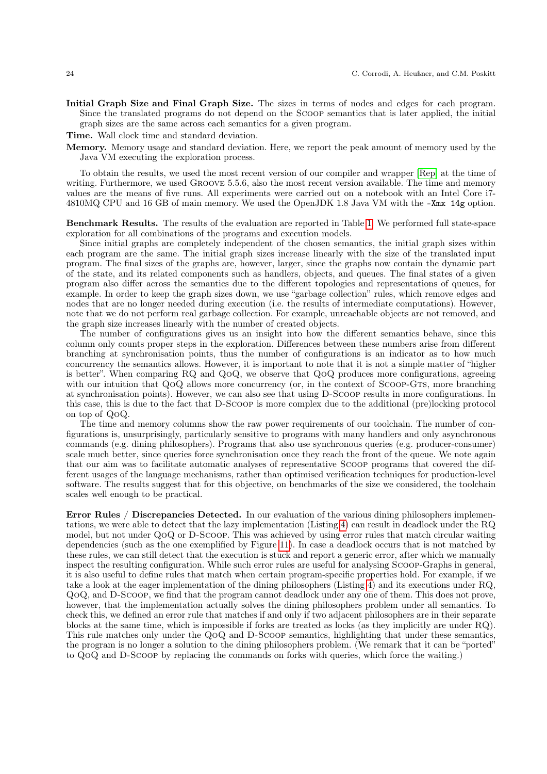Initial Graph Size and Final Graph Size. The sizes in terms of nodes and edges for each program. Since the translated programs do not depend on the Scoop semantics that is later applied, the initial graph sizes are the same across each semantics for a given program.

Time. Wall clock time and standard deviation.

Memory. Memory usage and standard deviation. Here, we report the peak amount of memory used by the Java VM executing the exploration process.

To obtain the results, we used the most recent version of our compiler and wrapper [\[Rep\]](#page-29-6) at the time of writing. Furthermore, we used Groove 5.5.6, also the most recent version available. The time and memory values are the means of five runs. All experiments were carried out on a notebook with an Intel Core i7- 4810MQ CPU and 16 GB of main memory. We used the OpenJDK 1.8 Java VM with the -Xmx 14g option.

Benchmark Results. The results of the evaluation are reported in Table [1.](#page-24-0) We performed full state-space exploration for all combinations of the programs and execution models.

Since initial graphs are completely independent of the chosen semantics, the initial graph sizes within each program are the same. The initial graph sizes increase linearly with the size of the translated input program. The final sizes of the graphs are, however, larger, since the graphs now contain the dynamic part of the state, and its related components such as handlers, objects, and queues. The final states of a given program also differ across the semantics due to the different topologies and representations of queues, for example. In order to keep the graph sizes down, we use "garbage collection" rules, which remove edges and nodes that are no longer needed during execution (i.e. the results of intermediate computations). However, note that we do not perform real garbage collection. For example, unreachable objects are not removed, and the graph size increases linearly with the number of created objects.

The number of configurations gives us an insight into how the different semantics behave, since this column only counts proper steps in the exploration. Differences between these numbers arise from different branching at synchronisation points, thus the number of configurations is an indicator as to how much concurrency the semantics allows. However, it is important to note that it is not a simple matter of "higher is better". When comparing RQ and QoQ, we observe that QoQ produces more configurations, agreeing with our intuition that QoQ allows more concurrency (or, in the context of SCOOP-GTs, more branching at synchronisation points). However, we can also see that using D-Scoop results in more configurations. In this case, this is due to the fact that D-Scoop is more complex due to the additional (pre)locking protocol on top of QoQ.

The time and memory columns show the raw power requirements of our toolchain. The number of configurations is, unsurprisingly, particularly sensitive to programs with many handlers and only asynchronous commands (e.g. dining philosophers). Programs that also use synchronous queries (e.g. producer-consumer) scale much better, since queries force synchronisation once they reach the front of the queue. We note again that our aim was to facilitate automatic analyses of representative Scoop programs that covered the different usages of the language mechanisms, rather than optimised verification techniques for production-level software. The results suggest that for this objective, on benchmarks of the size we considered, the toolchain scales well enough to be practical.

Error Rules / Discrepancies Detected. In our evaluation of the various dining philosophers implementations, we were able to detect that the lazy implementation (Listing [4\)](#page-15-0) can result in deadlock under the RQ model, but not under QoQ or D-Scoop. This was achieved by using error rules that match circular waiting dependencies (such as the one exemplified by Figure [11\)](#page-20-0). In case a deadlock occurs that is not matched by these rules, we can still detect that the execution is stuck and report a generic error, after which we manually inspect the resulting configuration. While such error rules are useful for analysing Scoop-Graphs in general, it is also useful to define rules that match when certain program-specific properties hold. For example, if we take a look at the eager implementation of the dining philosophers (Listing [4\)](#page-15-0) and its executions under RQ, QoQ, and D-Scoop, we find that the program cannot deadlock under any one of them. This does not prove, however, that the implementation actually solves the dining philosophers problem under all semantics. To check this, we defined an error rule that matches if and only if two adjacent philosophers are in their separate blocks at the same time, which is impossible if forks are treated as locks (as they implicitly are under RQ). This rule matches only under the QoQ and D-Scoop semantics, highlighting that under these semantics, the program is no longer a solution to the dining philosophers problem. (We remark that it can be "ported" to QoQ and D-Scoop by replacing the commands on forks with queries, which force the waiting.)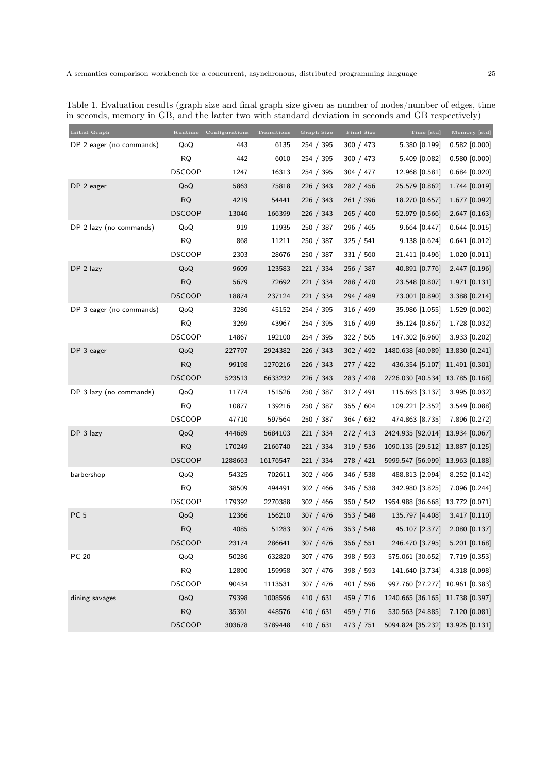| Initial Graph            | Runtime       | Configurations | Transitions | Graph Size | Final Size | Time [std]                       | Memory [std]    |
|--------------------------|---------------|----------------|-------------|------------|------------|----------------------------------|-----------------|
| DP 2 eager (no commands) | QoQ           | 443            | 6135        | 254 / 395  | 300 / 473  | 5.380 [0.199]                    | $0.582$ [0.000] |
|                          | RQ            | 442            | 6010        | 254 / 395  | 300 / 473  | 5.409 [0.082]                    | $0.580$ [0.000] |
|                          | <b>DSCOOP</b> | 1247           | 16313       | 254 / 395  | 304 / 477  | 12.968 [0.581]                   | 0.684 [0.020]   |
| DP 2 eager               | QoQ           | 5863           | 75818       | 226 / 343  | 282 / 456  | 25.579 [0.862]                   | 1.744 [0.019]   |
|                          | <b>RQ</b>     | 4219           | 54441       | 226 / 343  | 261 / 396  | 18.270 [0.657]                   | 1.677 [0.092]   |
|                          | <b>DSCOOP</b> | 13046          | 166399      | 226 / 343  | 265 / 400  | 52.979 [0.566]                   | 2.647 [0.163]   |
| DP 2 lazy (no commands)  | QoQ           | 919            | 11935       | 250 / 387  | 296 / 465  | 9.664 [0.447]                    | $0.644$ [0.015] |
|                          | RQ            | 868            | 11211       | 250 / 387  | 325 / 541  | 9.138 [0.624]                    | $0.641$ [0.012] |
|                          | <b>DSCOOP</b> | 2303           | 28676       | 250 / 387  | 331 / 560  | 21.411 [0.496]                   | 1.020 [0.011]   |
| DP 2 lazy                | QoQ           | 9609           | 123583      | 221 / 334  | 256 / 387  | 40.891 [0.776]                   | 2.447 [0.196]   |
|                          | <b>RQ</b>     | 5679           | 72692       | 221 / 334  | 288 / 470  | 23.548 [0.807]                   | 1.971 [0.131]   |
|                          | <b>DSCOOP</b> | 18874          | 237124      | 221 / 334  | 294 / 489  | 73.001 [0.890]                   | 3.388 [0.214]   |
| DP 3 eager (no commands) | QoQ           | 3286           | 45152       | 254 / 395  | 316 / 499  | 35.986 [1.055]                   | 1.529 [0.002]   |
|                          | RQ            | 3269           | 43967       | 254 / 395  | 316 / 499  | 35.124 [0.867]                   | 1.728 [0.032]   |
|                          | <b>DSCOOP</b> | 14867          | 192100      | 254 / 395  | 322 / 505  | 147.302 [6.960]                  | 3.933 [0.202]   |
| DP 3 eager               | QoQ           | 227797         | 2924382     | 226 / 343  | 302 / 492  | 1480.638 [40.989] 13.830 [0.241] |                 |
|                          | <b>RQ</b>     | 99198          | 1270216     | 226 / 343  | 277 / 422  | 436.354 [5.107] 11.491 [0.301]   |                 |
|                          | <b>DSCOOP</b> | 523513         | 6633232     | 226 / 343  | 283 / 428  | 2726.030 [40.534] 13.785 [0.168] |                 |
| DP 3 lazy (no commands)  | QoQ           | 11774          | 151526      | 250 / 387  | 312 / 491  | 115.693 [3.137]                  | 3.995 [0.032]   |
|                          | <b>RQ</b>     | 10877          | 139216      | 250 / 387  | 355 / 604  | 109.221 [2.352]                  | $3.549$ [0.088] |
|                          | <b>DSCOOP</b> | 47710          | 597564      | 250 / 387  | 364 / 632  | 474.863 [8.735]                  | 7.896 [0.272]   |
| DP 3 lazy                | QoQ           | 444689         | 5684103     | 221 / 334  | 272 / 413  | 2424.935 [92.014] 13.934 [0.067] |                 |
|                          | <b>RQ</b>     | 170249         | 2166740     | 221 / 334  | 319 / 536  | 1090.135 [29.512] 13.887 [0.125] |                 |
|                          | <b>DSCOOP</b> | 1288663        | 16176547    | 221 / 334  | 278 / 421  | 5999.547 [56.999] 13.963 [0.188] |                 |
| barbershop               | QoQ           | 54325          | 702611      | 302 / 466  | 346 / 538  | 488.813 [2.994]                  | $8.252$ [0.142] |
|                          | RQ            | 38509          | 494491      | 302 / 466  | 346 / 538  | 342.980 [3.825]                  | 7.096 [0.244]   |
|                          | <b>DSCOOP</b> | 179392         | 2270388     | 302 / 466  | 350 / 542  | 1954.988 [36.668] 13.772 [0.071] |                 |
| PC <sub>5</sub>          | QoQ           | 12366          | 156210      | 307 / 476  | 353 / 548  | 135.797 [4.408]                  | $3.417$ [0.110] |
|                          | RQ            | 4085           | 51283       | 307 / 476  | 353 / 548  | 45.107 [2.377]                   | 2.080 [0.137]   |
|                          | <b>DSCOOP</b> | 23174          | 286641      | 307 / 476  | 356 / 551  | 246.470 [3.795] 5.201 [0.168]    |                 |
| PC 20                    | QoQ           | 50286          | 632820      | 307 / 476  | 398 / 593  | 575.061 [30.652]                 | 7.719 [0.353]   |
|                          | <b>RQ</b>     | 12890          | 159958      | 307 / 476  | 398 / 593  | 141.640 [3.734]                  | 4.318 [0.098]   |
|                          | <b>DSCOOP</b> | 90434          | 1113531     | 307 / 476  | 401 / 596  | 997.760 [27.277] 10.961 [0.383]  |                 |
| dining savages           | QoQ           | 79398          | 1008596     | 410 / 631  | 459 / 716  | 1240.665 [36.165] 11.738 [0.397] |                 |
|                          | RQ            | 35361          | 448576      | 410 / 631  | 459 / 716  | 530.563 [24.885] 7.120 [0.081]   |                 |
|                          | <b>DSCOOP</b> | 303678         | 3789448     | 410 / 631  | 473 / 751  | 5094.824 [35.232] 13.925 [0.131] |                 |

<span id="page-24-0"></span>Table 1. Evaluation results (graph size and final graph size given as number of nodes/number of edges, time in seconds, memory in GB, and the latter two with standard deviation in seconds and GB respectively)

e.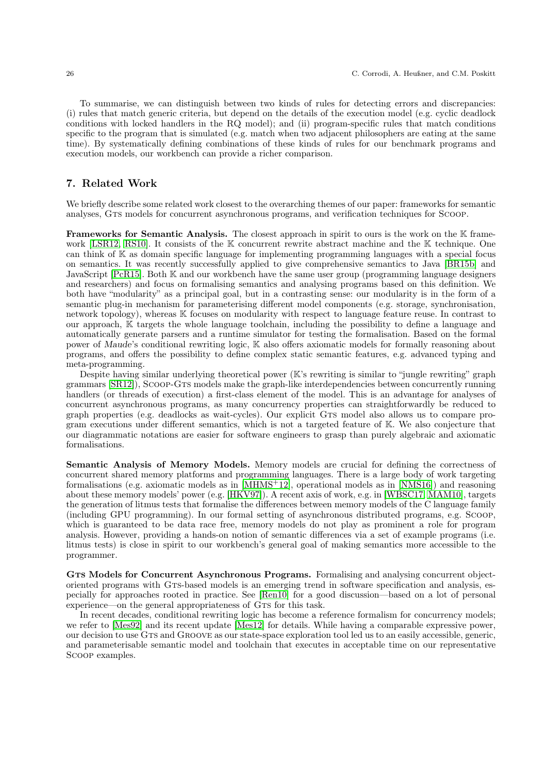To summarise, we can distinguish between two kinds of rules for detecting errors and discrepancies: (i) rules that match generic criteria, but depend on the details of the execution model (e.g. cyclic deadlock conditions with locked handlers in the RQ model); and (ii) program-specific rules that match conditions specific to the program that is simulated (e.g. match when two adjacent philosophers are eating at the same time). By systematically defining combinations of these kinds of rules for our benchmark programs and execution models, our workbench can provide a richer comparison.

### <span id="page-25-0"></span>7. Related Work

We briefly describe some related work closest to the overarching themes of our paper: frameworks for semantic analyses, Gts models for concurrent asynchronous programs, and verification techniques for Scoop.

Frameworks for Semantic Analysis. The closest approach in spirit to ours is the work on the K framework [\[LSR12,](#page-28-16) [RS10\]](#page-29-9). It consists of the K concurrent rewrite abstract machine and the K technique. One can think of K as domain specific language for implementing programming languages with a special focus on semantics. It was recently successfully applied to give comprehensive semantics to Java [\[BR15b\]](#page-27-5) and JavaScript [\[PcR15\]](#page-29-10). Both K and our workbench have the same user group (programming language designers and researchers) and focus on formalising semantics and analysing programs based on this definition. We both have "modularity" as a principal goal, but in a contrasting sense: our modularity is in the form of a semantic plug-in mechanism for parameterising different model components (e.g. storage, synchronisation, network topology), whereas K focuses on modularity with respect to language feature reuse. In contrast to our approach, K targets the whole language toolchain, including the possibility to define a language and automatically generate parsers and a runtime simulator for testing the formalisation. Based on the formal power of Maude's conditional rewriting logic, K also offers axiomatic models for formally reasoning about programs, and offers the possibility to define complex static semantic features, e.g. advanced typing and meta-programming.

Despite having similar underlying theoretical power (K's rewriting is similar to "jungle rewriting" graph grammars [\[SR12\]](#page-29-11)), Scoop-Gts models make the graph-like interdependencies between concurrently running handlers (or threads of execution) a first-class element of the model. This is an advantage for analyses of concurrent asynchronous programs, as many concurrency properties can straightforwardly be reduced to graph properties (e.g. deadlocks as wait-cycles). Our explicit GTs model also allows us to compare program executions under different semantics, which is not a targeted feature of K. We also conjecture that our diagrammatic notations are easier for software engineers to grasp than purely algebraic and axiomatic formalisations.

Semantic Analysis of Memory Models. Memory models are crucial for defining the correctness of concurrent shared memory platforms and programming languages. There is a large body of work targeting formalisations (e.g. axiomatic models as in [\[MHMS](#page-28-17)<sup>+</sup>12], operational models as in [\[NMS16\]](#page-28-18)) and reasoning about these memory models' power (e.g. [\[HKV97\]](#page-28-19)). A recent axis of work, e.g. in [\[WBSC17,](#page-29-12) [MAM10\]](#page-28-20), targets the generation of litmus tests that formalise the differences between memory models of the C language family (including GPU programming). In our formal setting of asynchronous distributed programs, e.g. Scoop, which is guaranteed to be data race free, memory models do not play as prominent a role for program analysis. However, providing a hands-on notion of semantic differences via a set of example programs (i.e. litmus tests) is close in spirit to our workbench's general goal of making semantics more accessible to the programmer.

GTS Models for Concurrent Asynchronous Programs. Formalising and analysing concurrent objectoriented programs with Gts-based models is an emerging trend in software specification and analysis, especially for approaches rooted in practice. See [\[Ren10\]](#page-29-13) for a good discussion—based on a lot of personal experience—on the general appropriateness of GTs for this task.

In recent decades, conditional rewriting logic has become a reference formalism for concurrency models; we refer to [\[Mes92\]](#page-28-21) and its recent update [\[Mes12\]](#page-28-22) for details. While having a comparable expressive power, our decision to use Gts and Groove as our state-space exploration tool led us to an easily accessible, generic, and parameterisable semantic model and toolchain that executes in acceptable time on our representative Scoop examples.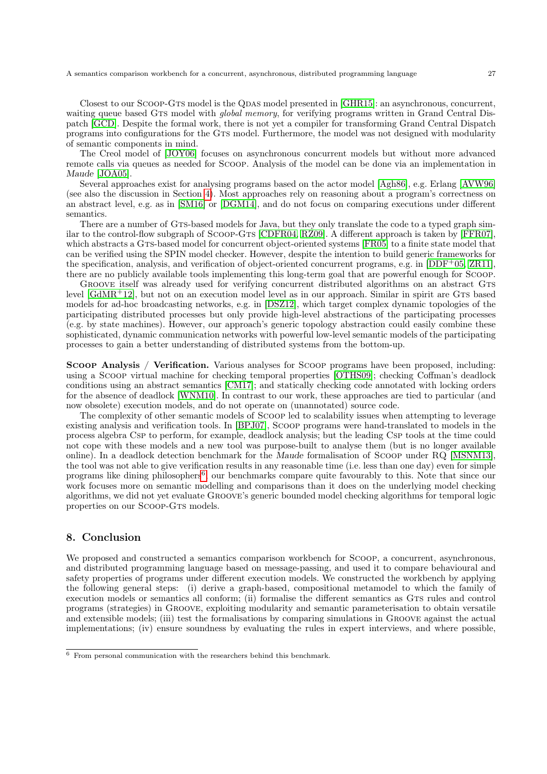A semantics comparison workbench for a concurrent, asynchronous, distributed programming language 27

Closest to our SCOOP-GTS model is the QDAS model presented in [\[GHR15\]](#page-28-23): an asynchronous, concurrent, waiting queue based GTS model with *global memory*, for verifying programs written in Grand Central Dispatch [\[GCD\]](#page-28-0). Despite the formal work, there is not yet a compiler for transforming Grand Central Dispatch programs into configurations for the GTs model. Furthermore, the model was not designed with modularity of semantic components in mind.

The Creol model of [\[JOY06\]](#page-28-2) focuses on asynchronous concurrent models but without more advanced remote calls via queues as needed for Scoop. Analysis of the model can be done via an implementation in Maude [\[JOA05\]](#page-28-24).

Several approaches exist for analysing programs based on the actor model [\[Agh86\]](#page-27-2), e.g. Erlang [\[AVW96\]](#page-27-3) (see also the discussion in Section [4\)](#page-9-0). Most approaches rely on reasoning about a program's correctness on an abstract level, e.g. as in [\[SM16\]](#page-29-14) or [\[DGM14\]](#page-28-25), and do not focus on comparing executions under different semantics.

There are a number of GTs-based models for Java, but they only translate the code to a typed graph sim-ilar to the control-flow subgraph of SCOOP-GTS [\[CDFR04,](#page-27-6) [RZ09\]](#page-29-15). A different approach is taken by [\[FFR07\]](#page-28-26), which abstracts a GTs-based model for concurrent object-oriented systems [\[FR05\]](#page-28-27) to a finite state model that can be verified using the SPIN model checker. However, despite the intention to build generic frameworks for the specification, analysis, and verification of object-oriented concurrent programs, e.g. in [\[DDF](#page-28-28)+05, [ZR11\]](#page-29-16), there are no publicly available tools implementing this long-term goal that are powerful enough for Scoop.

GROOVE itself was already used for verifying concurrent distributed algorithms on an abstract GTS level  $[GdMR+12]$  $[GdMR+12]$ , but not on an execution model level as in our approach. Similar in spirit are GTs based models for ad-hoc broadcasting networks, e.g. in [\[DSZ12\]](#page-28-29), which target complex dynamic topologies of the participating distributed processes but only provide high-level abstractions of the participating processes (e.g. by state machines). However, our approach's generic topology abstraction could easily combine these sophisticated, dynamic communication networks with powerful low-level semantic models of the participating processes to gain a better understanding of distributed systems from the bottom-up.

Scoop Analysis / Verification. Various analyses for Scoop programs have been proposed, including: using a Scoop virtual machine for checking temporal properties [\[OTHS09\]](#page-29-17); checking Coffman's deadlock conditions using an abstract semantics [\[CM17\]](#page-28-30); and statically checking code annotated with locking orders for the absence of deadlock [\[WNM10\]](#page-29-18). In contrast to our work, these approaches are tied to particular (and now obsolete) execution models, and do not operate on (unannotated) source code.

The complexity of other semantic models of Scoop led to scalability issues when attempting to leverage existing analysis and verification tools. In [\[BPJ07\]](#page-27-0), Scoop programs were hand-translated to models in the process algebra Csp to perform, for example, deadlock analysis; but the leading Csp tools at the time could not cope with these models and a new tool was purpose-built to analyse them (but is no longer available online). In a deadlock detection benchmark for the Maude formalisation of Scoop under RQ [\[MSNM13\]](#page-28-5), the tool was not able to give verification results in any reasonable time (i.e. less than one day) even for simple programs like dining philosophers<sup>[6](#page-26-1)</sup>; our benchmarks compare quite favourably to this. Note that since our work focuses more on semantic modelling and comparisons than it does on the underlying model checking algorithms, we did not yet evaluate Groove's generic bounded model checking algorithms for temporal logic properties on our Scoop-GTs models.

## <span id="page-26-0"></span>8. Conclusion

We proposed and constructed a semantics comparison workbench for SCOOP, a concurrent, asynchronous, and distributed programming language based on message-passing, and used it to compare behavioural and safety properties of programs under different execution models. We constructed the workbench by applying the following general steps: (i) derive a graph-based, compositional metamodel to which the family of execution models or semantics all conform; (ii) formalise the different semantics as GTs rules and control programs (strategies) in Groove, exploiting modularity and semantic parameterisation to obtain versatile and extensible models; (iii) test the formalisations by comparing simulations in Groove against the actual implementations; (iv) ensure soundness by evaluating the rules in expert interviews, and where possible,

<span id="page-26-1"></span> $6$  From personal communication with the researchers behind this benchmark.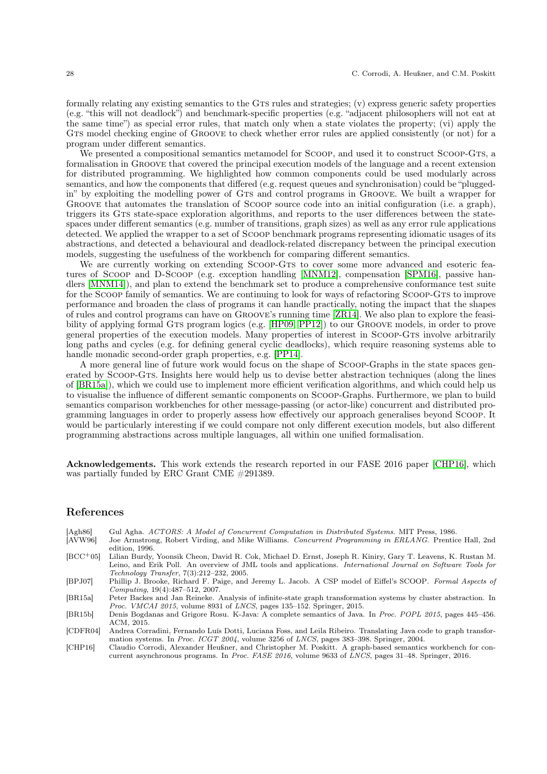formally relating any existing semantics to the GTS rules and strategies; (v) express generic safety properties (e.g. "this will not deadlock") and benchmark-specific properties (e.g. "adjacent philosophers will not eat at the same time") as special error rules, that match only when a state violates the property; (vi) apply the GTS model checking engine of GROOVE to check whether error rules are applied consistently (or not) for a program under different semantics.

We presented a compositional semantics metamodel for SCOOP, and used it to construct SCOOP-GTs, a formalisation in Groove that covered the principal execution models of the language and a recent extension for distributed programming. We highlighted how common components could be used modularly across semantics, and how the components that differed (e.g. request queues and synchronisation) could be "pluggedin" by exploiting the modelling power of GTs and control programs in GROOVE. We built a wrapper for GROOVE that automates the translation of SCOOP source code into an initial configuration (i.e. a graph), triggers its Gts state-space exploration algorithms, and reports to the user differences between the statespaces under different semantics (e.g. number of transitions, graph sizes) as well as any error rule applications detected. We applied the wrapper to a set of Scoop benchmark programs representing idiomatic usages of its abstractions, and detected a behavioural and deadlock-related discrepancy between the principal execution models, suggesting the usefulness of the workbench for comparing different semantics.

We are currently working on extending SCOOP-GTs to cover some more advanced and esoteric features of Scoop and D-Scoop (e.g. exception handling [\[MNM12\]](#page-28-31), compensation [\[SPM16\]](#page-29-2), passive handlers [\[MNM14\]](#page-28-8)), and plan to extend the benchmark set to produce a comprehensive conformance test suite for the SCOOP family of semantics. We are continuing to look for ways of refactoring SCOOP-GTs to improve performance and broaden the class of programs it can handle practically, noting the impact that the shapes of rules and control programs can have on Groove's running time [\[ZR14\]](#page-29-19). We also plan to explore the feasi-bility of applying formal GTS program logics (e.g. [\[HP09,](#page-28-32) [PP12\]](#page-29-20)) to our GROOVE models, in order to prove general properties of the execution models. Many properties of interest in SCOOP-GTS involve arbitrarily long paths and cycles (e.g. for defining general cyclic deadlocks), which require reasoning systems able to handle monadic second-order graph properties, e.g. [\[PP14\]](#page-29-21).

A more general line of future work would focus on the shape of Scoop-Graphs in the state spaces generated by Scoop-Gts. Insights here would help us to devise better abstraction techniques (along the lines of [\[BR15a\]](#page-27-7)), which we could use to implement more efficient verification algorithms, and which could help us to visualise the influence of different semantic components on Scoop-Graphs. Furthermore, we plan to build semantics comparison workbenches for other message-passing (or actor-like) concurrent and distributed programming languages in order to properly assess how effectively our approach generalises beyond Scoop. It would be particularly interesting if we could compare not only different execution models, but also different programming abstractions across multiple languages, all within one unified formalisation.

Acknowledgements. This work extends the research reported in our FASE 2016 paper [\[CHP16\]](#page-27-1), which was partially funded by ERC Grant CME #291389.

#### References

- <span id="page-27-2"></span>[Agh86] Gul Agha. ACTORS: A Model of Concurrent Computation in Distributed Systems. MIT Press, 1986.<br>[AVW96] Joe Armstrong, Robert Virding, and Mike Williams. Concurrent Programming in ERLANG. Prentic
- <span id="page-27-3"></span>Joe Armstrong, Robert Virding, and Mike Williams. Concurrent Programming in ERLANG. Prentice Hall, 2nd edition, 1996.
- <span id="page-27-4"></span>[BCC+05] Lilian Burdy, Yoonsik Cheon, David R. Cok, Michael D. Ernst, Joseph R. Kiniry, Gary T. Leavens, K. Rustan M. Leino, and Erik Poll. An overview of JML tools and applications. International Journal on Software Tools for Technology Transfer, 7(3):212–232, 2005.

<span id="page-27-0"></span>[BPJ07] Phillip J. Brooke, Richard F. Paige, and Jeremy L. Jacob. A CSP model of Eiffel's SCOOP. Formal Aspects of Computing, 19(4):487–512, 2007.

<span id="page-27-7"></span>[BR15a] Peter Backes and Jan Reineke. Analysis of infinite-state graph transformation systems by cluster abstraction. In Proc. VMCAI 2015, volume 8931 of LNCS, pages 135–152. Springer, 2015.

<span id="page-27-5"></span>[BR15b] Denis Bogdanas and Grigore Rosu. K-Java: A complete semantics of Java. In Proc. POPL 2015, pages 445–456. ACM, 2015.

<span id="page-27-6"></span>[CDFR04] Andrea Corradini, Fernando Luís Dotti, Luciana Foss, and Leila Ribeiro. Translating Java code to graph transformation systems. In Proc. ICGT 2004, volume 3256 of LNCS, pages 383–398. Springer, 2004.

<span id="page-27-1"></span>[CHP16] Claudio Corrodi, Alexander Heußner, and Christopher M. Poskitt. A graph-based semantics workbench for concurrent asynchronous programs. In Proc. FASE 2016, volume 9633 of LNCS, pages 31–48. Springer, 2016.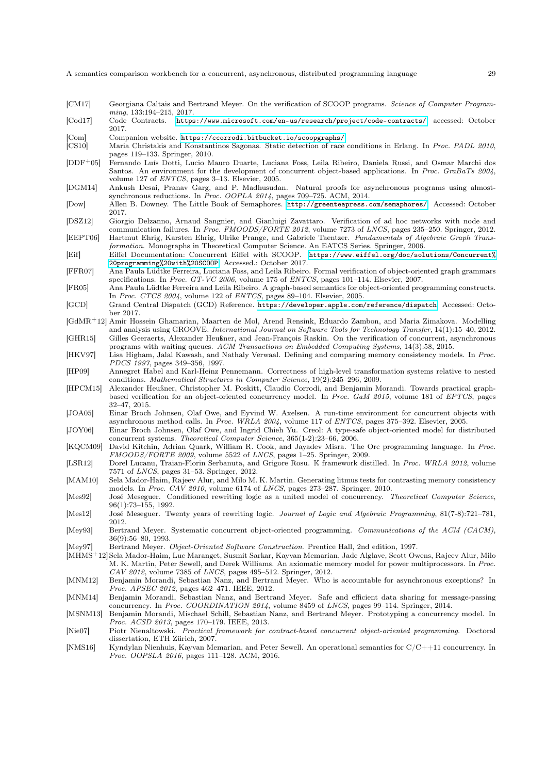- <span id="page-28-30"></span>[CM17] Georgiana Caltais and Bertrand Meyer. On the verification of SCOOP programs. Science of Computer Programming, 133:194–215, 2017.
- <span id="page-28-11"></span>[Cod17] Code Contracts. <https://www.microsoft.com/en-us/research/project/code-contracts/>, accessed: October 2017.
- <span id="page-28-13"></span>
- <span id="page-28-14"></span>[Com] Companion website. <https://ccorrodi.bitbucket.io/scoopgraphs/>.<br>[CS10] Maria Christakis and Konstantinos Sagonas. Static detection of race Maria Christakis and Konstantinos Sagonas. Static detection of race conditions in Erlang. In Proc. PADL 2010, pages 119–133. Springer, 2010.
- <span id="page-28-28"></span>[DDF+05] Fernando Luís Dotti, Lucio Mauro Duarte, Luciana Foss, Leila Ribeiro, Daniela Russi, and Osmar Marchi dos Santos. An environment for the development of concurrent object-based applications. In Proc. GraBaTs 2004, volume 127 of ENTCS, pages 3–13. Elsevier, 2005.
- <span id="page-28-25"></span>[DGM14] Ankush Desai, Pranav Garg, and P. Madhusudan. Natural proofs for asynchronous programs using almostsynchronous reductions. In Proc. OOPLA 2014, pages 709–725. ACM, 2014.
- <span id="page-28-15"></span>[Dow] Allen B. Downey. The Little Book of Semaphores. <http://greenteapress.com/semaphores/>. Accessed: October 2017.
- <span id="page-28-29"></span>[DSZ12] Giorgio Delzanno, Arnaud Sangnier, and Gianluigi Zavattaro. Verification of ad hoc networks with node and communication failures. In Proc. FMOODS/FORTE 2012, volume 7273 of LNCS, pages 235–250. Springer, 2012. [EEPT06] Hartmut Ehrig, Karsten Ehrig, Ulrike Prange, and Gabriele Taentzer. Fundamentals of Algebraic Graph Trans-
- <span id="page-28-12"></span><span id="page-28-7"></span>formation. Monographs in Theoretical Computer Science. An EATCS Series. Springer, 2006. [Eif] Eiffel Documentation: Concurrent Eiffel with SCOOP. [https://www.eiffel.org/doc/solutions/Concurrent%](https://www.eiffel.org/doc/solutions/Concurrent%20programming%20with%20SCOOP)
- <span id="page-28-26"></span>[20programming%20with%20SCOOP](https://www.eiffel.org/doc/solutions/Concurrent%20programming%20with%20SCOOP). Accessed.: October 2017. [FFR07] Ana Paula Lüdtke Ferreira, Luciana Foss, and Leila Ribeiro. Formal verification of object-oriented graph grammars specifications. In Proc. GT-VC 2006, volume 175 of ENTCS, pages 101-114. Elsevier, 2007.
- <span id="page-28-27"></span>[FR05] Ana Paula Lüdtke Ferreira and Leila Ribeiro. A graph-based semantics for object-oriented programming constructs. In Proc. CTCS 2004, volume 122 of ENTCS, pages 89–104. Elsevier, 2005.
- <span id="page-28-0"></span>[GCD] Grand Central Dispatch (GCD) Reference. <https://developer.apple.com/reference/dispatch>. Accessed: October 2017.
- <span id="page-28-23"></span><span id="page-28-9"></span>[GdMR+12] Amir Hossein Ghamarian, Maarten de Mol, Arend Rensink, Eduardo Zambon, and Maria Zimakova. Modelling and analysis using GROOVE. International Journal on Software Tools for Technology Transfer, 14(1):15–40, 2012. [GHR15] Gilles Geeraerts, Alexander Heußner, and Jean-François Raskin. On the verification of concurrent, asynchronous programs with waiting queues. ACM Transactions on Embedded Computing Systems, 14(3):58, 2015.
- <span id="page-28-19"></span>[HKV97] Lisa Higham, Jalal Kawash, and Nathaly Verwaal. Defining and comparing memory consistency models. In Proc. PDCS 1997, pages 349–356, 1997.
- <span id="page-28-32"></span>[HP09] Annegret Habel and Karl-Heinz Pennemann. Correctness of high-level transformation systems relative to nested conditions. Mathematical Structures in Computer Science, 19(2):245–296, 2009.
- <span id="page-28-10"></span>[HPCM15] Alexander Heußner, Christopher M. Poskitt, Claudio Corrodi, and Benjamin Morandi. Towards practical graphbased verification for an object-oriented concurrency model. In Proc. GaM 2015, volume 181 of EPTCS, pages 32–47, 2015.
- <span id="page-28-24"></span>[JOA05] Einar Broch Johnsen, Olaf Owe, and Eyvind W. Axelsen. A run-time environment for concurrent objects with asynchronous method calls. In Proc. WRLA 2004, volume 117 of ENTCS, pages 375–392. Elsevier, 2005.
- <span id="page-28-2"></span>[JOY06] Einar Broch Johnsen, Olaf Owe, and Ingrid Chieh Yu. Creol: A type-safe object-oriented model for distributed concurrent systems. Theoretical Computer Science, 365(1-2):23–66, 2006.
- <span id="page-28-1"></span>[KQCM09] David Kitchin, Adrian Quark, William R. Cook, and Jayadev Misra. The Orc programming language. In Proc. FMOODS/FORTE 2009, volume 5522 of LNCS, pages 1–25. Springer, 2009.
- <span id="page-28-16"></span>[LSR12] Dorel Lucanu, Traian-Florin Serbanuta, and Grigore Rosu. K framework distilled. In Proc. WRLA 2012, volume 7571 of LNCS, pages 31–53. Springer, 2012.
- <span id="page-28-20"></span>[MAM10] Sela Mador-Haim, Rajeev Alur, and Milo M. K. Martin. Generating litmus tests for contrasting memory consistency models. In Proc.  $CAV$  2010, volume 6174 of LNCS, pages 273-287. Springer, 2010.
- <span id="page-28-21"></span>[Mes92] José Meseguer. Conditioned rewriting logic as a united model of concurrency. Theoretical Computer Science, 96(1):73–155, 1992.
- <span id="page-28-22"></span>[Mes12] José Meseguer. Twenty years of rewriting logic. Journal of Logic and Algebraic Programming, 81(7-8):721–781, 2012.
- <span id="page-28-3"></span>[Mey93] Bertrand Meyer. Systematic concurrent object-oriented programming. Communications of the ACM (CACM), 36(9):56–80, 1993.
- <span id="page-28-4"></span>[Mey97] Bertrand Meyer. Object-Oriented Software Construction. Prentice Hall, 2nd edition, 1997.
- <span id="page-28-17"></span>[MHMS+12]Sela Mador-Haim, Luc Maranget, Susmit Sarkar, Kayvan Memarian, Jade Alglave, Scott Owens, Rajeev Alur, Milo M. K. Martin, Peter Sewell, and Derek Williams. An axiomatic memory model for power multiprocessors. In Proc. CAV 2012, volume 7385 of LNCS, pages 495–512. Springer, 2012.
- <span id="page-28-31"></span>[MNM12] Benjamin Morandi, Sebastian Nanz, and Bertrand Meyer. Who is accountable for asynchronous exceptions? In Proc. APSEC 2012, pages 462–471. IEEE, 2012.
- <span id="page-28-8"></span>[MNM14] Benjamin Morandi, Sebastian Nanz, and Bertrand Meyer. Safe and efficient data sharing for message-passing concurrency. In Proc. COORDINATION 2014, volume 8459 of LNCS, pages 99–114. Springer, 2014.
- <span id="page-28-5"></span>[MSNM13] Benjamin Morandi, Mischael Schill, Sebastian Nanz, and Bertrand Meyer. Prototyping a concurrency model. In Proc. ACSD 2013, pages 170–179. IEEE, 2013.
- <span id="page-28-6"></span>[Nie07] Piotr Nienaltowski. Practical framework for contract-based concurrent object-oriented programming. Doctoral dissertation, ETH Zürich, 2007.
- <span id="page-28-18"></span>[NMS16] Kyndylan Nienhuis, Kayvan Memarian, and Peter Sewell. An operational semantics for C/C++11 concurrency. In Proc. OOPSLA 2016, pages 111–128. ACM, 2016.